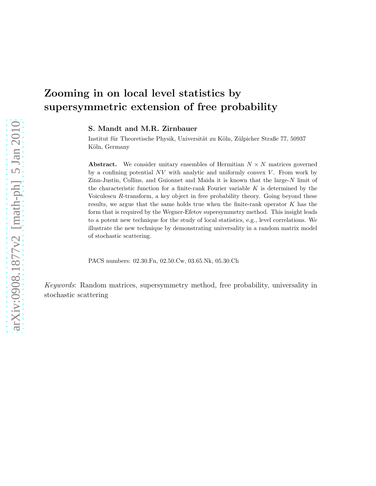# Zooming in on local level statistics by supersymmetric extension of free probability

S. Mandt and M.R. Zirnbauer

Institut für Theoretische Physik, Universität zu Köln, Zülpicher Straße 77, 50937 Köln, Germany

**Abstract.** We consider unitary ensembles of Hermitian  $N \times N$  matrices governed by a confining potential  $NV$  with analytic and uniformly convex  $V$ . From work by  $Zinn-Justin$ , Collins, and Guionnet and Maida it is known that the large- $N$  limit of the characteristic function for a finite-rank Fourier variable  $K$  is determined by the Voiculescu  $R$ -transform, a key object in free probability theory. Going beyond these results, we argue that the same holds true when the finite-rank operator  $K$  has the form that is required by the Wegner-Efetov supersymmetry method. This insight leads to a potent new technique for the study of local statistics, e.g., level correlations. We illustrate the new technique by demonstrating universality in a random matrix model of stochastic scattering.

PACS numbers: 02.30.Fn, 02.50.Cw, 03.65.Nk, 05.30.Ch

Keywords: Random matrices, supersymmetry method, free probability, universality in stochastic scattering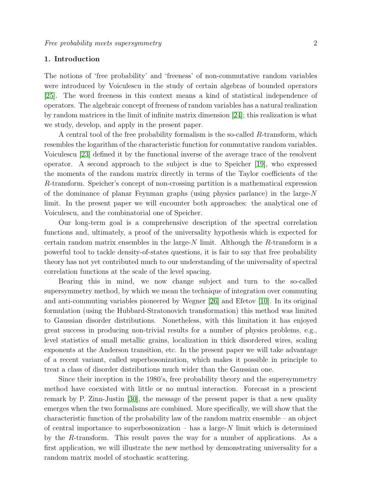# 1. Introduction

The notions of 'free probability' and 'freeness' of non-commutative random variables were introduced by Voiculescu in the study of certain algebras of bounded operators [\[25\]](#page-37-0). The word freeness in this context means a kind of statistical independence of operators. The algebraic concept of freeness of random variables has a natural realization by random matrices in the limit of infinite matrix dimension [\[24\]](#page-37-1); this realization is what we study, develop, and apply in the present paper.

A central tool of the free probability formalism is the so-called R-transform, which resembles the logarithm of the characteristic function for commutative random variables. Voiculescu [\[23\]](#page-37-2) defined it by the functional inverse of the average trace of the resolvent operator. A second approach to the subject is due to Speicher [\[19\]](#page-37-3), who expressed the moments of the random matrix directly in terms of the Taylor coefficients of the R-transform. Speicher's concept of non-crossing partition is a mathematical expression of the dominance of planar Feynman graphs (using physics parlance) in the large-N limit. In the present paper we will encounter both approaches: the analytical one of Voiculescu, and the combinatorial one of Speicher.

Our long-term goal is a comprehensive description of the spectral correlation functions and, ultimately, a proof of the universality hypothesis which is expected for certain random matrix ensembles in the large- $N$  limit. Although the  $R$ -transform is a powerful tool to tackle density-of-states questions, it is fair to say that free probability theory has not yet contributed much to our understanding of the universality of spectral correlation functions at the scale of the level spacing.

Bearing this in mind, we now change subject and turn to the so-called supersymmetry method, by which we mean the technique of integration over commuting and anti-commuting variables pioneered by Wegner [\[26\]](#page-37-4) and Efetov [\[10\]](#page-36-0). In its original formulation (using the Hubbard-Stratonovich transformation) this method was limited to Gaussian disorder distributions. Nonetheless, with this limitation it has enjoyed great success in producing non-trivial results for a number of physics problems, e.g., level statistics of small metallic grains, localization in thick disordered wires, scaling exponents at the Anderson transition, etc. In the present paper we will take advantage of a recent variant, called superbosonization, which makes it possible in principle to treat a class of disorder distributions much wider than the Gaussian one.

Since their inception in the 1980's, free probability theory and the supersymmetry method have coexisted with little or no mutual interaction. Forecast in a prescient remark by P. Zinn-Justin [\[30\]](#page-37-5), the message of the present paper is that a new quality emerges when the two formalisms are combined. More specifically, we will show that the characteristic function of the probability law of the random matrix ensemble – an object of central importance to superbosonization – has a large- $N$  limit which is determined by the R-transform. This result paves the way for a number of applications. As a first application, we will illustrate the new method by demonstrating universality for a random matrix model of stochastic scattering.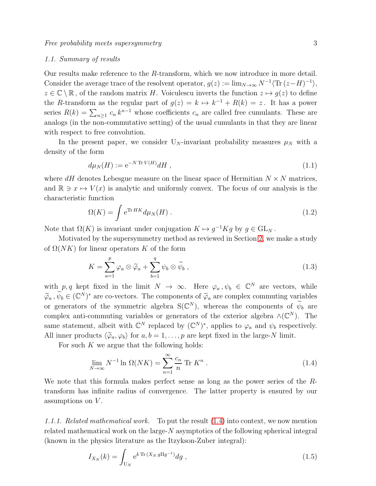### 1.1. Summary of results

Our results make reference to the R-transform, which we now introduce in more detail. Consider the average trace of the resolvent operator,  $g(z) := \lim_{N \to \infty} N^{-1} \langle \text{Tr} (z - H)^{-1} \rangle$ ,  $z \in \mathbb{C} \setminus \mathbb{R}$ , of the random matrix H. Voiculescu inverts the function  $z \mapsto g(z)$  to define the R-transform as the regular part of  $g(z) = k \mapsto k^{-1} + R(k) = z$ . It has a power series  $R(k) = \sum_{n\geq 1} c_n k^{n-1}$  whose coefficients  $c_n$  are called free cumulants. These are analogs (in the non-commutative setting) of the usual cumulants in that they are linear with respect to free convolution.

In the present paper, we consider  $U_N$ -invariant probability measures  $\mu_N$  with a density of the form

<span id="page-2-4"></span>
$$
d\mu_N(H) := \mathrm{e}^{-N \operatorname{Tr} V(H)} dH \;, \tag{1.1}
$$

where  $dH$  denotes Lebesgue measure on the linear space of Hermitian  $N \times N$  matrices, and  $\mathbb{R} \ni x \mapsto V(x)$  is analytic and uniformly convex. The focus of our analysis is the characteristic function

<span id="page-2-1"></span>
$$
\Omega(K) = \int e^{\text{Tr} HK} d\mu_N(H) \,. \tag{1.2}
$$

Note that  $\Omega(K)$  is invariant under conjugation  $K \mapsto g^{-1}Kg$  by  $g \in GL_N$ .

Motivated by the supersymmetry method as reviewed in Section [2,](#page-4-0) we make a study of  $\Omega(NK)$  for linear operators K of the form

<span id="page-2-3"></span>
$$
K = \sum_{a=1}^{p} \varphi_a \otimes \widetilde{\varphi}_a + \sum_{b=1}^{q} \psi_b \otimes \widetilde{\psi}_b , \qquad (1.3)
$$

with  $p, q$  kept fixed in the limit  $N \to \infty$ . Here  $\varphi_a, \psi_b \in \mathbb{C}^N$  are vectors, while  $\widetilde{\varphi}_a$ ,  $\widetilde{\psi}_b \in (\mathbb{C}^N)^*$  are co-vectors. The components of  $\widetilde{\varphi}_a$  are complex commuting variables or generators of the symmetric algebra  $S(\mathbb{C}^N)$ , whereas the components of  $\widetilde{\psi}_b$  are complex anti-commuting variables or generators of the exterior algebra  $\wedge(\mathbb{C}^N)$ . The same statement, albeit with  $\mathbb{C}^N$  replaced by  $(\mathbb{C}^N)^*$ , applies to  $\varphi_a$  and  $\psi_b$  respectively. All inner products  $\langle \tilde{\varphi}_a, \varphi_b \rangle$  for  $a, b = 1, \ldots, p$  are kept fixed in the large-N limit.

For such  $K$  we argue that the following holds:

<span id="page-2-0"></span>
$$
\lim_{N \to \infty} N^{-1} \ln \Omega(NK) = \sum_{n=1}^{\infty} \frac{c_n}{n} \text{Tr } K^n \ . \tag{1.4}
$$

We note that this formula makes perfect sense as long as the power series of the Rtransform has infinite radius of convergence. The latter property is ensured by our assumptions on  $V$ .

1.1.1. Related mathematical work. To put the result [\(1.4\)](#page-2-0) into context, we now mention related mathematical work on the large-N asymptotics of the following spherical integral (known in the physics literature as the Itzykson-Zuber integral):

<span id="page-2-2"></span>
$$
I_{X_N}(k) = \int_{U_N} e^{k \operatorname{Tr}(X_N g \Pi g^{-1})} dg , \qquad (1.5)
$$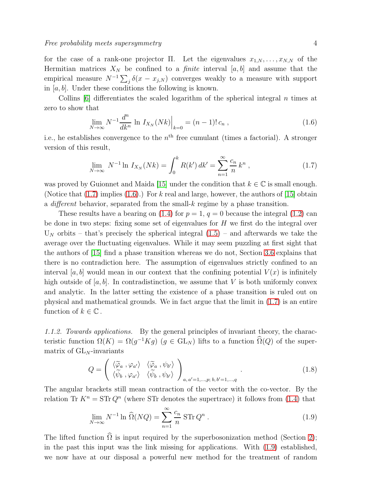for the case of a rank-one projector Π. Let the eigenvalues  $x_{1,N}, \ldots, x_{N,N}$  of the Hermitian matrices  $X_N$  be confined to a *finite* interval [a, b] and assume that the empirical measure  $N^{-1}\sum_j \delta(x - x_{j,N})$  converges weakly to a measure with support in  $[a, b]$ . Under these conditions the following is known.

Collins  $[6]$  differentiates the scaled logarithm of the spherical integral n times at zero to show that

<span id="page-3-1"></span>
$$
\lim_{N \to \infty} N^{-1} \frac{d^n}{dk^n} \ln I_{X_N}(Nk) \Big|_{k=0} = (n-1)! \, c_n \,, \tag{1.6}
$$

i.e., he establishes convergence to the  $n<sup>th</sup>$  free cumulant (times a factorial). A stronger version of this result,

<span id="page-3-0"></span>
$$
\lim_{N \to \infty} N^{-1} \ln I_{X_N}(Nk) = \int_0^k R(k') \, dk' = \sum_{n=1}^\infty \frac{c_n}{n} k^n \,, \tag{1.7}
$$

was proved by Guionnet and Maida [\[15\]](#page-36-2) under the condition that  $k \in \mathbb{C}$  is small enough. (Notice that  $(1.7)$  implies  $(1.6)$ .) For k real and large, however, the authors of [\[15\]](#page-36-2) obtain a different behavior, separated from the small-k regime by a phase transition.

These results have a bearing on  $(1.4)$  for  $p = 1, q = 0$  because the integral  $(1.2)$  can be done in two steps: fixing some set of eigenvalues for  $H$  we first do the integral over  $U_N$  orbits – that's precisely the spherical integral  $(1.5)$  – and afterwards we take the average over the fluctuating eigenvalues. While it may seem puzzling at first sight that the authors of [\[15\]](#page-36-2) find a phase transition whereas we do not, Section [3.6](#page-16-0) explains that there is no contradiction here. The assumption of eigenvalues strictly confined to an interval [a, b] would mean in our context that the confining potential  $V(x)$  is infinitely high outside of [a, b]. In contradistinction, we assume that V is both uniformly convex and analytic. In the latter setting the existence of a phase transition is ruled out on physical and mathematical grounds. We in fact argue that the limit in [\(1.7\)](#page-3-0) is an entire function of  $k \in \mathbb{C}$ .

1.1.2. Towards applications. By the general principles of invariant theory, the characteristic function  $\Omega(K) = \Omega(g^{-1}Kg)$   $(g \in GL_N)$  lifts to a function  $\Omega(Q)$  of the supermatrix of  $GL_N$ -invariants

$$
Q = \begin{pmatrix} \langle \widetilde{\varphi}_a , \varphi_{a'} \rangle & \langle \widetilde{\varphi}_a , \psi_{b'} \rangle \\ \langle \widetilde{\psi}_b , \varphi_{a'} \rangle & \langle \widetilde{\psi}_b , \psi_{b'} \rangle \end{pmatrix}_{a, a'=1, \dots, p; b, b'=1, \dots, q} .
$$
 (1.8)

The angular brackets still mean contraction of the vector with the co-vector. By the relation Tr  $K^n = \text{STr } Q^n$  (where STr denotes the supertrace) it follows from [\(1.4\)](#page-2-0) that

<span id="page-3-2"></span>
$$
\lim_{N \to \infty} N^{-1} \ln \widehat{\Omega}(NQ) = \sum_{n=1}^{\infty} \frac{c_n}{n} \operatorname{STr} Q^n . \tag{1.9}
$$

The lifted function  $\widehat{\Omega}$  is input required by the superbosonization method (Section [2\)](#page-4-0); in the past this input was the link missing for applications. With [\(1.9\)](#page-3-2) established, we now have at our disposal a powerful new method for the treatment of random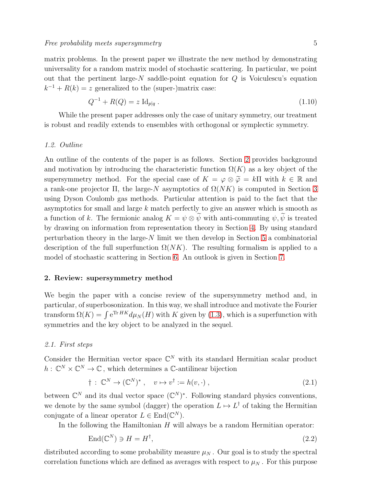matrix problems. In the present paper we illustrate the new method by demonstrating universality for a random matrix model of stochastic scattering. In particular, we point out that the pertinent large- $N$  saddle-point equation for  $Q$  is Voiculescu's equation  $k^{-1} + R(k) = z$  generalized to the (super-)matrix case:

<span id="page-4-1"></span>
$$
Q^{-1} + R(Q) = z \operatorname{Id}_{p|q} . \tag{1.10}
$$

While the present paper addresses only the case of unitary symmetry, our treatment is robust and readily extends to ensembles with orthogonal or symplectic symmetry.

# 1.2. Outline

An outline of the contents of the paper is as follows. Section [2](#page-4-0) provides background and motivation by introducing the characteristic function  $\Omega(K)$  as a key object of the supersymmetry method. For the special case of  $K = \varphi \otimes \widetilde{\varphi} = k\Pi$  with  $k \in \mathbb{R}$  and a rank-one projector  $\Pi$ , the large-N asymptotics of  $\Omega(NK)$  is computed in Section [3](#page-9-0) using Dyson Coulomb gas methods. Particular attention is paid to the fact that the asymptotics for small and large k match perfectly to give an answer which is smooth as a function of k. The fermionic analog  $K = \psi \otimes \widetilde{\psi}$  with anti-commuting  $\psi, \widetilde{\psi}$  is treated by drawing on information from representation theory in Section [4.](#page-18-0) By using standard perturbation theory in the large-N limit we then develop in Section [5](#page-21-0) a combinatorial description of the full superfunction  $\Omega(NK)$ . The resulting formalism is applied to a model of stochastic scattering in Section [6.](#page-30-0) An outlook is given in Section [7.](#page-35-0)

### <span id="page-4-0"></span>2. Review: supersymmetry method

We begin the paper with a concise review of the supersymmetry method and, in particular, of superbosonization. In this way, we shall introduce and motivate the Fourier transform  $\Omega(K) = \int e^{Tr HK} d\mu_N(H)$  with K given by [\(1.3\)](#page-2-3), which is a superfunction with symmetries and the key object to be analyzed in the sequel.

# 2.1. First steps

Consider the Hermitian vector space  $\mathbb{C}^N$  with its standard Hermitian scalar product  $h: \mathbb{C}^N \times \mathbb{C}^N \to \mathbb{C}$ , which determines a C-antilinear bijection

$$
\dagger : \mathbb{C}^N \to (\mathbb{C}^N)^*, \quad v \mapsto v^{\dagger} := h(v, \cdot) , \tag{2.1}
$$

between  $\mathbb{C}^N$  and its dual vector space  $(\mathbb{C}^N)^*$ . Following standard physics conventions, we denote by the same symbol (dagger) the operation  $L \mapsto L^{\dagger}$  of taking the Hermitian conjugate of a linear operator  $L \in \text{End}(\mathbb{C}^N)$ .

In the following the Hamiltonian  $H$  will always be a random Hermitian operator:

$$
End(\mathbb{C}^N) \ni H = H^{\dagger},\tag{2.2}
$$

distributed according to some probability measure  $\mu_N$ . Our goal is to study the spectral correlation functions which are defined as averages with respect to  $\mu_N$ . For this purpose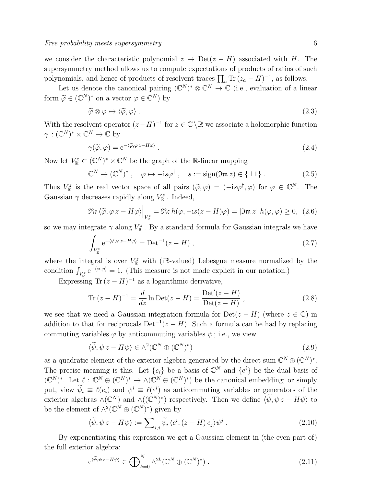we consider the characteristic polynomial  $z \mapsto \text{Det}(z - H)$  associated with H. The supersymmetry method allows us to compute expectations of products of ratios of such polynomials, and hence of products of resolvent traces  $\prod_a Tr (z_a - H)^{-1}$ , as follows.

Let us denote the canonical pairing  $(\mathbb{C}^N)^* \otimes \mathbb{C}^N \to \mathbb{C}$  (i.e., evaluation of a linear form  $\widetilde{\varphi} \in (\mathbb{C}^N)^*$  on a vector  $\varphi \in \mathbb{C}^N$ ) by

$$
\widetilde{\varphi} \otimes \varphi \mapsto \langle \widetilde{\varphi}, \varphi \rangle \tag{2.3}
$$

With the resolvent operator  $(z-H)^{-1}$  for  $z \in \mathbb{C} \setminus \mathbb{R}$  we associate a holomorphic function  $\gamma$ :  $(\mathbb{C}^N)^* \times \mathbb{C}^N \to \mathbb{C}$  by

$$
\gamma(\tilde{\varphi}, \varphi) = e^{-\langle \tilde{\varphi}, \varphi z - H\varphi \rangle}.
$$
\n(2.4)

Now let  $V_{\mathbb{R}}^{z} \subset (\mathbb{C}^{N})^{*} \times \mathbb{C}^{N}$  be the graph of the R-linear mapping

$$
\mathbb{C}^N \to (\mathbb{C}^N)^*, \quad \varphi \mapsto -is\varphi^\dagger \;, \quad s := \text{sign}(\mathfrak{Im}\, z) \in \{\pm 1\} \;. \tag{2.5}
$$

Thus  $V_{\mathbb{R}}^z$  is the real vector space of all pairs  $(\tilde{\varphi}, \varphi) = (-is\varphi^{\dagger}, \varphi)$  for  $\varphi \in \mathbb{C}^N$ . The Gaussian  $\gamma$  decreases rapidly along  $V_{\mathbb{R}}^z$ . Indeed,

$$
\Re\mathfrak{e}\left\langle\widetilde{\varphi},\varphi\,z-H\varphi\right\rangle\Big|_{V^z_{\mathbb{R}}}=\Re\mathfrak{e}\,h(\varphi,-\mathrm{i} s(z-H)\varphi)=|\mathfrak{Im}\,z|\,h(\varphi,\varphi)\geq 0,\tag{2.6}
$$

so we may integrate  $\gamma$  along  $V_{\mathbb{R}}^z$ . By a standard formula for Gaussian integrals we have

<span id="page-5-0"></span>
$$
\int_{V_{\mathbb{R}}^z} e^{-\langle \tilde{\varphi}, \varphi z - H\varphi \rangle} = \text{Det}^{-1}(z - H) ,
$$
\n(2.7)

where the integral is over  $V_{\mathbb{R}}^z$  with (iR-valued) Lebesgue measure normalized by the condition  $\int_{V_{\mathbb{R}}^z} e^{-\langle \widetilde{\varphi}, \varphi \rangle} = 1$ . (This measure is not made explicit in our notation.)

Expressing Tr  $(z - H)^{-1}$  as a logarithmic derivative,

$$
\text{Tr}(z - H)^{-1} = \frac{d}{dz} \ln \text{Det}(z - H) = \frac{\text{Det}'(z - H)}{\text{Det}(z - H)},
$$
\n(2.8)

we see that we need a Gaussian integration formula for  $Det(z - H)$  (where  $z \in \mathbb{C}$ ) in addition to that for reciprocals  $\text{Det}^{-1}(z-H)$ . Such a formula can be had by replacing commuting variables  $\varphi$  by anticommuting variables  $\psi$ ; i.e., we view

$$
\langle \widetilde{\psi}, \psi \, z - H \psi \rangle \in \wedge^2(\mathbb{C}^N \oplus (\mathbb{C}^N)^*)
$$
\n
$$
(2.9)
$$

as a quadratic element of the exterior algebra generated by the direct sum  $\mathbb{C}^N \oplus (\mathbb{C}^N)^*$ . The precise meaning is this. Let  $\{e_i\}$  be a basis of  $\mathbb{C}^N$  and  $\{e^i\}$  be the dual basis of  $(\mathbb{C}^N)^*$ . Let  $\ell : \mathbb{C}^N \oplus (\mathbb{C}^N)^* \to \wedge (\mathbb{C}^N \oplus (\mathbb{C}^N)^*)$  be the canonical embedding; or simply put, view  $\psi_i \equiv \ell(e_i)$  and  $\psi^i \equiv \ell(e^i)$  as anticommuting variables or generators of the exterior algebras  $\wedge$ ( $\mathbb{C}^N$ ) and  $\wedge$ ( $(\mathbb{C}^N)^*$ ) respectively. Then we define  $\langle \widetilde{\psi}, \psi \, z - H \psi \rangle$  to be the element of  $\wedge^2(\mathbb{C}^N \oplus (\mathbb{C}^N)^*)$  given by

$$
\langle \widetilde{\psi}, \psi \, z - H \psi \rangle := \sum_{i,j} \widetilde{\psi}_i \, \langle e^i, (z - H) \, e_j \rangle \psi^j \,. \tag{2.10}
$$

By exponentiating this expression we get a Gaussian element in (the even part of) the full exterior algebra:

$$
e^{\langle \widetilde{\psi}, \psi z - H\psi \rangle} \in \bigoplus_{k=0}^{N} \wedge^{2k} (\mathbb{C}^{N} \oplus (\mathbb{C}^{N})^{*}).
$$
\n(2.11)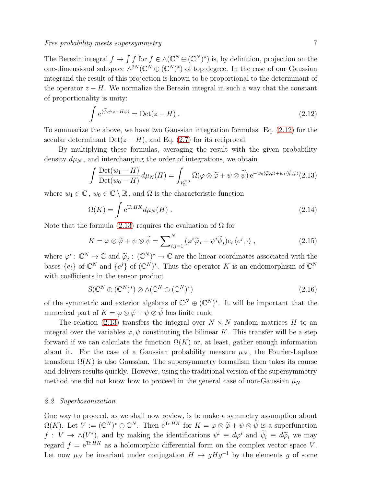The Berezin integral  $f \mapsto \int f$  for  $f \in \wedge (\mathbb{C}^N \oplus (\mathbb{C}^N)^*)$  is, by definition, projection on the one-dimensional subspace  $\wedge^{2N}(\mathbb{C}^N \oplus (\mathbb{C}^N)^*)$  of top degree. In the case of our Gaussian integrand the result of this projection is known to be proportional to the determinant of the operator  $z - H$ . We normalize the Berezin integral in such a way that the constant of proportionality is unity:

<span id="page-6-0"></span>
$$
\int e^{\langle \tilde{\psi}, \psi z - H\psi \rangle} = \text{Det}(z - H) . \qquad (2.12)
$$

To summarize the above, we have two Gaussian integration formulas: Eq. [\(2.12\)](#page-6-0) for the secular determinant Det( $z - H$ ), and Eq. [\(2.7\)](#page-5-0) for its reciprocal.

By multiplying these formulas, averaging the result with the given probability density  $d\mu_N$ , and interchanging the order of integrations, we obtain

<span id="page-6-1"></span>
$$
\int \frac{\text{Det}(w_1 - H)}{\text{Det}(w_0 - H)} d\mu_N(H) = \int_{V_{\mathbb{R}}^{w_0}} \Omega(\varphi \otimes \widetilde{\varphi} + \psi \otimes \widetilde{\psi}) e^{-w_0 \langle \widetilde{\varphi}, \varphi \rangle + w_1 \langle \widetilde{\psi}, \psi \rangle} (2.13)
$$

where  $w_1 \in \mathbb{C}$ ,  $w_0 \in \mathbb{C} \setminus \mathbb{R}$ , and  $\Omega$  is the characteristic function

$$
\Omega(K) = \int e^{\text{Tr}HK} d\mu_N(H) \,. \tag{2.14}
$$

Note that the formula [\(2.13\)](#page-6-1) requires the evaluation of  $\Omega$  for

$$
K = \varphi \otimes \widetilde{\varphi} + \psi \otimes \widetilde{\psi} = \sum_{i,j=1}^{N} (\varphi^i \widetilde{\varphi}_j + \psi^i \widetilde{\psi}_j) e_i \langle e^j, \cdot \rangle , \qquad (2.15)
$$

where  $\varphi^i: \mathbb{C}^N \to \mathbb{C}$  and  $\widetilde{\varphi}_j: (\mathbb{C}^N)^* \to \mathbb{C}$  are the linear coordinates associated with the bases  $\{e_i\}$  of  $\mathbb{C}^N$  and  $\{e^j\}$  of  $(\mathbb{C}^N)^*$ . Thus the operator K is an endomorphism of  $\mathbb{C}^N$ with coefficients in the tensor product

$$
S(\mathbb{C}^N \oplus (\mathbb{C}^N)^*) \otimes \wedge (\mathbb{C}^N \oplus (\mathbb{C}^N)^*)
$$
\n(2.16)

of the symmetric and exterior algebras of  $\mathbb{C}^N \oplus (\mathbb{C}^N)^*$ . It will be important that the numerical part of  $K = \varphi \otimes \widetilde{\varphi} + \psi \otimes \widetilde{\psi}$  has finite rank.

The relation [\(2.13\)](#page-6-1) transfers the integral over  $N \times N$  random matrices H to an integral over the variables  $\varphi, \psi$  constituting the bilinear K. This transfer will be a step forward if we can calculate the function  $\Omega(K)$  or, at least, gather enough information about it. For the case of a Gaussian probability measure  $\mu_N$ , the Fourier-Laplace transform  $\Omega(K)$  is also Gaussian. The supersymmetry formalism then takes its course and delivers results quickly. However, using the traditional version of the supersymmetry method one did not know how to proceed in the general case of non-Gaussian  $\mu_N$ .

### 2.2. Superbosonization

One way to proceed, as we shall now review, is to make a symmetry assumption about  $\Omega(K)$ . Let  $V := (\mathbb{C}^N)^* \oplus \mathbb{C}^N$ . Then  $e^{Tr HK}$  for  $K = \varphi \otimes \widetilde{\varphi} + \psi \otimes \widetilde{\psi}$  is a superfunction  $f: V \to \wedge (V^*)$ , and by making the identifications  $\psi^i \equiv d\varphi^i$  and  $\psi_i \equiv d\widetilde{\varphi}_i$  we may regard  $f = e^{Tr HK}$  as a holomorphic differential form on the complex vector space V. Let now  $\mu_N$  be invariant under conjugation  $H \mapsto gHg^{-1}$  by the elements g of some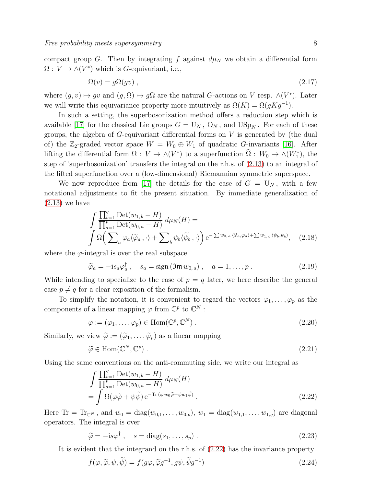compact group G. Then by integrating f against  $d\mu_N$  we obtain a differential form  $\Omega: V \to \wedge(V^*)$  which is *G*-equivariant, i.e.,

$$
\Omega(v) = g\Omega(gv) \tag{2.17}
$$

where  $(g, v) \mapsto gv$  and  $(g, \Omega) \mapsto g\Omega$  are the natural G-actions on V resp.  $\wedge (V^*)$ . Later we will write this equivariance property more intuitively as  $\Omega(K) = \Omega(gKg^{-1}).$ 

In such a setting, the superbosonization method offers a reduction step which is available [\[17\]](#page-37-6) for the classical Lie groups  $G = U_N$ ,  $O_N$ , and  $USp_N$ . For each of these groups, the algebra of  $G$ -equivariant differential forms on  $V$  is generated by (the dual of) the  $\mathbb{Z}_2$ -graded vector space  $W = W_0 \oplus W_1$  of quadratic G-invariants [\[16\]](#page-37-7). After lifting the differential form  $\Omega: V \to \wedge(V^*)$  to a superfunction  $\Omega: W_0 \to \wedge(W_1^*)$ , the step of 'superbosonization' transfers the integral on the r.h.s. of [\(2.13\)](#page-6-1) to an integral of the lifted superfunction over a (low-dimensional) Riemannian symmetric superspace.

We now reproduce from [\[17\]](#page-37-6) the details for the case of  $G = U_N$ , with a few notational adjustments to fit the present situation. By immediate generalization of  $(2.13)$  we have

$$
\int \frac{\prod_{b=1}^{q} \mathrm{Det}(w_{1,b} - H)}{\prod_{a=1}^{p} \mathrm{Det}(w_{0,a} - H)} d\mu_{N}(H) =
$$
\n
$$
\int \Omega \left( \sum_{a} \varphi_{a} \langle \widetilde{\varphi}_{a}, \cdot \rangle + \sum_{b} \psi_{b} \langle \widetilde{\psi}_{b}, \cdot \rangle \right) e^{-\sum w_{0,a} \langle \widetilde{\varphi}_{a}, \varphi_{a} \rangle + \sum w_{1,b} \langle \widetilde{\psi}_{b}, \psi_{b} \rangle}, \quad (2.18)
$$

where the  $\varphi$ -integral is over the real subspace

$$
\widetilde{\varphi}_a = -is_a \varphi_a^\dagger \,, \quad s_a = \text{sign}(\mathfrak{Im} \, w_{0,a}) \,, \quad a = 1, \dots, p \,. \tag{2.19}
$$

While intending to specialize to the case of  $p = q$  later, we here describe the general case  $p \neq q$  for a clear exposition of the formalism.

To simplify the notation, it is convenient to regard the vectors  $\varphi_1, \ldots, \varphi_p$  as the components of a linear mapping  $\varphi$  from  $\mathbb{C}^p$  to  $\mathbb{C}^N$ :

$$
\varphi := (\varphi_1, \dots, \varphi_p) \in \text{Hom}(\mathbb{C}^p, \mathbb{C}^N) . \tag{2.20}
$$

Similarly, we view  $\widetilde{\varphi} := (\widetilde{\varphi}_1, \ldots, \widetilde{\varphi}_p)$  as a linear mapping

$$
\widetilde{\varphi} \in \text{Hom}(\mathbb{C}^N, \mathbb{C}^p) \ . \tag{2.21}
$$

Using the same conventions on the anti-commuting side, we write our integral as

<span id="page-7-0"></span>
$$
\int \frac{\prod_{b=1}^{q} \text{Det}(w_{1,b} - H)}{\prod_{a=1}^{p} \text{Det}(w_{0,a} - H)} d\mu_N(H)
$$
\n
$$
= \int \Omega(\varphi \widetilde{\varphi} + \psi \widetilde{\psi}) e^{-\text{Tr}(\varphi w_0 \widetilde{\varphi} + \psi w_1 \widetilde{\psi})}.
$$
\n(2.22)

Here  $Tr = Tr_{\mathbb{C}^N}$ , and  $w_0 = diag(w_{0,1}, \ldots, w_{0,p}), w_1 = diag(w_{1,1}, \ldots, w_{1,q})$  are diagonal operators. The integral is over

$$
\widetilde{\varphi} = -is\varphi^{\dagger} , \quad s = \text{diag}(s_1, \dots, s_p) . \tag{2.23}
$$

It is evident that the integrand on the r.h.s. of [\(2.22\)](#page-7-0) has the invariance property

$$
f(\varphi, \widetilde{\varphi}, \psi, \widetilde{\psi}) = f(g\varphi, \widetilde{\varphi}g^{-1}, g\psi, \widetilde{\psi}g^{-1})
$$
\n(2.24)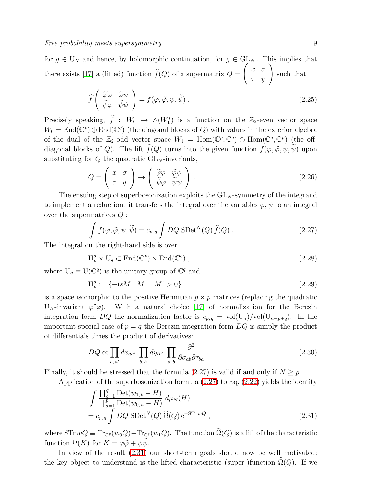for  $g \in U_N$  and hence, by holomorphic continuation, for  $g \in GL_N$ . This implies that there exists [\[17\]](#page-37-6) a (lifted) function  $f(Q)$  of a supermatrix  $Q =$  $\left(\begin{array}{cc} x & \sigma \\ \tau & y \end{array}\right)$ such that

$$
\widehat{f}\left(\begin{array}{cc}\widetilde{\varphi}\varphi & \widetilde{\varphi}\psi\\ \widetilde{\psi}\varphi & \widetilde{\psi}\psi\end{array}\right) = f(\varphi,\widetilde{\varphi},\psi,\widetilde{\psi})\ .
$$
\n(2.25)

Precisely speaking,  $\hat{f}$  :  $W_0 \to \wedge (W_1^*)$  is a function on the Z<sub>2</sub>-even vector space  $W_0 = \text{End}(\mathbb{C}^p) \oplus \text{End}(\mathbb{C}^q)$  (the diagonal blocks of Q) with values in the exterior algebra of the dual of the  $\mathbb{Z}_2$ -odd vector space  $W_1 = \text{Hom}(\mathbb{C}^p, \mathbb{C}^q) \oplus \text{Hom}(\mathbb{C}^q, \mathbb{C}^p)$  (the offdiagonal blocks of Q). The lift  $\widehat{f}(Q)$  turns into the given function  $f(\varphi, \widetilde{\varphi}, \psi, \widetilde{\psi})$  upon substituting for  $Q$  the quadratic  $GL_N$ -invariants,

$$
Q = \begin{pmatrix} x & \sigma \\ \tau & y \end{pmatrix} \rightarrow \begin{pmatrix} \tilde{\varphi}\varphi & \tilde{\varphi}\psi \\ \tilde{\psi}\varphi & \tilde{\psi}\psi \end{pmatrix}.
$$
 (2.26)

The ensuing step of superbosonization exploits the  $GL_N$ -symmetry of the integrand to implement a reduction: it transfers the integral over the variables  $\varphi, \psi$  to an integral over the supermatrices Q :

<span id="page-8-0"></span>
$$
\int f(\varphi, \widetilde{\varphi}, \psi, \widetilde{\psi}) = c_{p,q} \int DQ \, \text{SDet}^N(Q) \, \widehat{f}(Q) \, . \tag{2.27}
$$

The integral on the right-hand side is over

$$
H_p^s \times U_q \subset End(\mathbb{C}^p) \times End(\mathbb{C}^q) ,\qquad (2.28)
$$

where  $U_q \equiv U(\mathbb{C}^q)$  is the unitary group of  $\mathbb{C}^q$  and

<span id="page-8-3"></span>
$$
H_p^s := \{-isM \mid M = M^\dagger > 0\} \tag{2.29}
$$

is a space isomorphic to the positive Hermitian  $p \times p$  matrices (replacing the quadratic U<sub>N</sub>-invariant  $\varphi^{\dagger} \varphi$ ). With a natural choice [\[17\]](#page-37-6) of normalization for the Berezin integration form DQ the normalization factor is  $c_{p,q} = vol(U_n)/vol(U_{n-p+q})$ . In the important special case of  $p = q$  the Berezin integration form  $DQ$  is simply the product of differentials times the product of derivatives:

<span id="page-8-2"></span>
$$
DQ \propto \prod_{a,a'} dx_{aa'} \prod_{b,b'} dy_{bb'} \prod_{a,b} \frac{\partial^2}{\partial \sigma_{ab} \partial \tau_{ba}} \,. \tag{2.30}
$$

Finally, it should be stressed that the formula  $(2.27)$  is valid if and only if  $N \geq p$ .

Application of the superbosonization formula  $(2.27)$  to Eq.  $(2.22)$  yields the identity

<span id="page-8-1"></span>
$$
\int \frac{\prod_{b=1}^{q} \text{Det}(w_{1,b} - H)}{\prod_{a=1}^{p} \text{Det}(w_{0,a} - H)} d\mu_N(H)
$$
\n
$$
= c_{p,q} \int DQ \text{ SDet}^{N}(Q) \hat{\Omega}(Q) e^{-\text{STr} wQ},
$$
\n(2.31)

where STr  $wQ \equiv \text{Tr}_{\mathbb{C}^p}(w_0Q) - \text{Tr}_{\mathbb{C}^q}(w_1Q)$ . The function  $\widehat{\Omega}(Q)$  is a lift of the characteristic function  $\Omega(K)$  for  $K = \varphi \widetilde{\varphi} + \psi \psi$ .

In view of the result [\(2.31\)](#page-8-1) our short-term goals should now be well motivated: the key object to understand is the lifted characteristic (super-)function  $\Omega(Q)$ . If we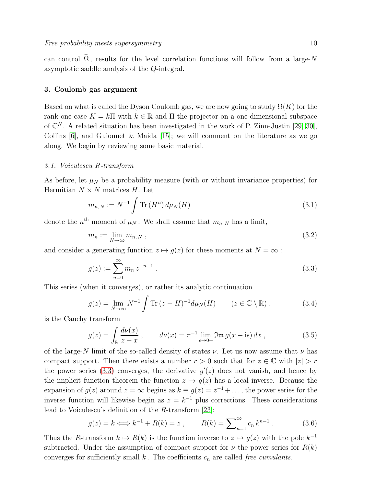can control  $\widehat{\Omega}$ , results for the level correlation functions will follow from a large-N asymptotic saddle analysis of the Q-integral.

# <span id="page-9-0"></span>3. Coulomb gas argument

Based on what is called the Dyson Coulomb gas, we are now going to study  $\Omega(K)$  for the rank-one case  $K = k\Pi$  with  $k \in \mathbb{R}$  and  $\Pi$  the projector on a one-dimensional subspace of  $\mathbb{C}^N$ . A related situation has been investigated in the work of P. Zinn-Justin [\[29,](#page-37-8) [30\]](#page-37-5), Collins [\[6\]](#page-36-1), and Guionnet & Maida [\[15\]](#page-36-2); we will comment on the literature as we go along. We begin by reviewing some basic material.

### 3.1. Voiculescu R-transform

As before, let  $\mu_N$  be a probability measure (with or without invariance properties) for Hermitian  $N \times N$  matrices H. Let

<span id="page-9-4"></span>
$$
m_{n,N} := N^{-1} \int \text{Tr} (H^n) d\mu_N(H)
$$
\n(3.1)

denote the  $n<sup>th</sup>$  moment of  $\mu_N$ . We shall assume that  $m_{n,N}$  has a limit,

$$
m_n := \lim_{N \to \infty} m_{n,N}, \qquad (3.2)
$$

and consider a generating function  $z \mapsto g(z)$  for these moments at  $N = \infty$ :

<span id="page-9-1"></span>
$$
g(z) := \sum_{n=0}^{\infty} m_n z^{-n-1} . \tag{3.3}
$$

This series (when it converges), or rather its analytic continuation

$$
g(z) = \lim_{N \to \infty} N^{-1} \int \text{Tr} (z - H)^{-1} d\mu_N(H) \qquad (z \in \mathbb{C} \setminus \mathbb{R}), \qquad (3.4)
$$

is the Cauchy transform

<span id="page-9-2"></span>
$$
g(z) = \int_{\mathbb{R}} \frac{d\nu(x)}{z - x}, \qquad d\nu(x) = \pi^{-1} \lim_{\epsilon \to 0+} \mathfrak{Im} g(x - i\epsilon) dx, \qquad (3.5)
$$

of the large-N limit of the so-called density of states  $\nu$ . Let us now assume that  $\nu$  has compact support. Then there exists a number  $r > 0$  such that for  $z \in \mathbb{C}$  with  $|z| > r$ the power series [\(3.3\)](#page-9-1) converges, the derivative  $g'(z)$  does not vanish, and hence by the implicit function theorem the function  $z \mapsto g(z)$  has a local inverse. Because the expansion of  $g(z)$  around  $z = \infty$  begins as  $k \equiv g(z) = z^{-1} + \dots$ , the power series for the inverse function will likewise begin as  $z = k^{-1}$  plus corrections. These considerations lead to Voiculescu's definition of the R-transform [\[23\]](#page-37-2):

<span id="page-9-3"></span>
$$
g(z) = k \iff k^{-1} + R(k) = z , \qquad R(k) = \sum_{n=1}^{\infty} c_n k^{n-1} . \tag{3.6}
$$

Thus the R-transform  $k \mapsto R(k)$  is the function inverse to  $z \mapsto g(z)$  with the pole  $k^{-1}$ subtracted. Under the assumption of compact support for  $\nu$  the power series for  $R(k)$ converges for sufficiently small k. The coefficients  $c_n$  are called free cumulants.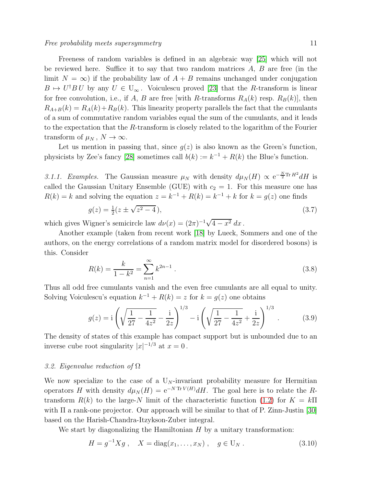Freeness of random variables is defined in an algebraic way [\[25\]](#page-37-0) which will not be reviewed here. Suffice it to say that two random matrices  $A, B$  are free (in the limit  $N = \infty$ ) if the probability law of  $A + B$  remains unchanged under conjugation  $B \mapsto U^{\dagger} B U$  by any  $U \in U_{\infty}$ . Voiculescu proved [\[23\]](#page-37-2) that the R-transform is linear for free convolution, i.e., if A, B are free [with R-transforms  $R_A(k)$  resp.  $R_B(k)$ ], then  $R_{A+B}(k) = R_A(k) + R_B(k)$ . This linearity property parallels the fact that the cumulants of a sum of commutative random variables equal the sum of the cumulants, and it leads to the expectation that the R-transform is closely related to the logarithm of the Fourier transform of  $\mu_N$ ,  $N \to \infty$ .

Let us mention in passing that, since  $q(z)$  is also known as the Green's function, physicists by Zee's fancy [\[28\]](#page-37-9) sometimes call  $b(k) := k^{-1} + R(k)$  the Blue's function.

3.1.1. Examples. The Gaussian measure  $\mu_N$  with density  $d\mu_N(H) \propto e^{-\frac{N}{2}\text{Tr }H^2}dH$  is called the Gaussian Unitary Ensemble (GUE) with  $c_2 = 1$ . For this measure one has  $R(k) = k$  and solving the equation  $z = k^{-1} + R(k) = k^{-1} + k$  for  $k = g(z)$  one finds

$$
g(z) = \frac{1}{2}(z \pm \sqrt{z^2 - 4}),\tag{3.7}
$$

which gives Wigner's semicircle law  $d\nu(x) = (2\pi)^{-1}\sqrt{4-x^2} dx$ .

Another example (taken from recent work [\[18\]](#page-37-10) by Lueck, Sommers and one of the authors, on the energy correlations of a random matrix model for disordered bosons) is this. Consider

$$
R(k) = \frac{k}{1 - k^2} = \sum_{n=1}^{\infty} k^{2n - 1} .
$$
 (3.8)

Thus all odd free cumulants vanish and the even free cumulants are all equal to unity. Solving Voiculescu's equation  $k^{-1} + R(k) = z$  for  $k = g(z)$  one obtains

$$
g(z) = i \left( \sqrt{\frac{1}{27} - \frac{1}{4z^2}} - \frac{i}{2z} \right)^{1/3} - i \left( \sqrt{\frac{1}{27} - \frac{1}{4z^2}} + \frac{i}{2z} \right)^{1/3} .
$$
 (3.9)

The density of states of this example has compact support but is unbounded due to an inverse cube root singularity  $|x|^{-1/3}$  at  $x=0$ .

### 3.2. Eigenvalue reduction of  $\Omega$

We now specialize to the case of a  $U_N$ -invariant probability measure for Hermitian operators H with density  $d\mu_N(H) = e^{-N \text{Tr} V(H)} dH$ . The goal here is to relate the Rtransform  $R(k)$  to the large-N limit of the characteristic function [\(1.2\)](#page-2-1) for  $K = k\Pi$ with Π a rank-one projector. Our approach will be similar to that of P. Zinn-Justin [\[30\]](#page-37-5) based on the Harish-Chandra-Itzykson-Zuber integral.

We start by diagonalizing the Hamiltonian  $H$  by a unitary transformation:

$$
H = g^{-1} X g , \quad X = \text{diag}(x_1, \dots, x_N) , \quad g \in U_N .
$$
 (3.10)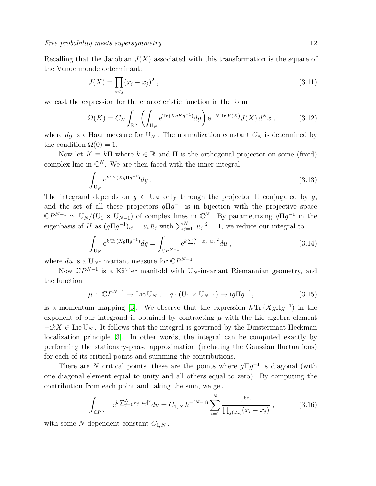Recalling that the Jacobian  $J(X)$  associated with this transformation is the square of the Vandermonde determinant:

$$
J(X) = \prod_{i < j} (x_i - x_j)^2 \tag{3.11}
$$

we cast the expression for the characteristic function in the form

<span id="page-11-0"></span>
$$
\Omega(K) = C_N \int_{\mathbb{R}^N} \left( \int_{\mathcal{U}_N} e^{\text{Tr}\,(XgKg^{-1})} dg \right) e^{-N \text{Tr}\,V(X)} J(X) d^N x , \qquad (3.12)
$$

where dg is a Haar measure for  $U_N$ . The normalization constant  $C_N$  is determined by the condition  $\Omega(0) = 1$ .

Now let  $K \equiv k \Pi$  where  $k \in \mathbb{R}$  and  $\Pi$  is the orthogonal projector on some (fixed) complex line in  $\mathbb{C}^N$ . We are then faced with the inner integral

$$
\int_{\mathcal{U}_N} e^{k \operatorname{Tr}(Xg \Pi g^{-1})} dg . \tag{3.13}
$$

The integrand depends on  $g \in U_N$  only through the projector  $\Pi$  conjugated by g, and the set of all these projectors  $g\Pi g^{-1}$  is in bijection with the projective space  $\mathbb{C}P^{N-1} \simeq \mathrm{U}_N/(\mathrm{U}_1 \times \mathrm{U}_{N-1})$  of complex lines in  $\mathbb{C}^N$ . By parametrizing  $g\Pi g^{-1}$  in the eigenbasis of H as  $(g\Pi g^{-1})_{ij} = u_i \bar{u}_j$  with  $\sum_{j=1}^N |u_j|^2 = 1$ , we reduce our integral to

<span id="page-11-2"></span>
$$
\int_{U_N} e^{k \operatorname{Tr}(Xg \Pi g^{-1})} dg = \int_{\mathbb{C}P^{N-1}} e^{k \sum_{j=1}^N x_j |u_j|^2} du , \qquad (3.14)
$$

where du is a U<sub>N</sub>-invariant measure for  $\mathbb{C}P^{N-1}$ .

Now  $\mathbb{C}P^{N-1}$  is a Kähler manifold with U<sub>N</sub>-invariant Riemannian geometry, and the function

$$
\mu : \mathbb{C}P^{N-1} \to \text{Lie } U_N , \quad g \cdot (U_1 \times U_{N-1}) \mapsto ig \Pi g^{-1}, \tag{3.15}
$$

is a momentum mapping [\[3\]](#page-36-3). We observe that the expression  $k \text{Tr} (Xg \Pi g^{-1})$  in the exponent of our integrand is obtained by contracting  $\mu$  with the Lie algebra element  $-i kX \in \text{Lie } U_N$ . It follows that the integral is governed by the Duistermaat-Heckman localization principle [\[3\]](#page-36-3). In other words, the integral can be computed exactly by performing the stationary-phase approximation (including the Gaussian fluctuations) for each of its critical points and summing the contributions.

There are N critical points; these are the points where  $g\Pi g^{-1}$  is diagonal (with one diagonal element equal to unity and all others equal to zero). By computing the contribution from each point and taking the sum, we get

<span id="page-11-1"></span>
$$
\int_{\mathbb{C}P^{N-1}} e^{k \sum_{j=1}^{N} x_j |u_j|^2} du = C_{1,N} k^{-(N-1)} \sum_{i=1}^{N} \frac{e^{k x_i}}{\prod_{j(\neq i)} (x_i - x_j)},
$$
\n(3.16)

with some N-dependent constant  $C_{1,N}$ .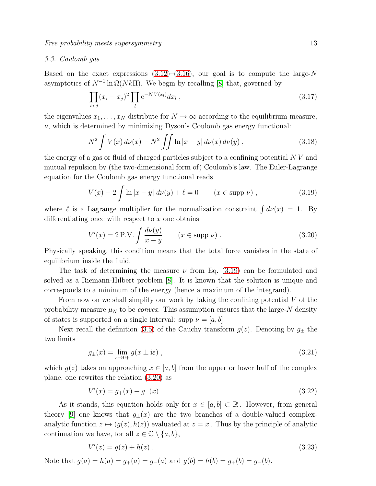# <span id="page-12-3"></span>3.3. Coulomb gas

Based on the exact expressions  $(3.12)$ – $(3.16)$ , our goal is to compute the large-N asymptotics of  $N^{-1} \ln \Omega(Nk\Pi)$ . We begin by recalling [\[8\]](#page-36-4) that, governed by

$$
\prod_{i < j} (x_i - x_j)^2 \prod_l e^{-NV(x_l)} dx_l \tag{3.17}
$$

the eigenvalues  $x_1, \ldots, x_N$  distribute for  $N \to \infty$  according to the equilibrium measure,  $\nu$ , which is determined by minimizing Dyson's Coulomb gas energy functional:

$$
N^{2} \int V(x) d\nu(x) - N^{2} \iint \ln|x - y| d\nu(x) d\nu(y) , \qquad (3.18)
$$

the energy of a gas or fluid of charged particles subject to a confining potential  $N V$  and mutual repulsion by (the two-dimensional form of) Coulomb's law. The Euler-Lagrange equation for the Coulomb gas energy functional reads

<span id="page-12-0"></span>
$$
V(x) - 2 \int \ln|x - y| \, d\nu(y) + \ell = 0 \qquad (x \in \text{supp }\nu) , \qquad (3.19)
$$

where  $\ell$  is a Lagrange multiplier for the normalization constraint  $\int d\nu(x) = 1$ . By differentiating once with respect to  $x$  one obtains

<span id="page-12-1"></span>
$$
V'(x) = 2 P.V. \int \frac{d\nu(y)}{x - y} \qquad (x \in \text{supp }\nu). \tag{3.20}
$$

Physically speaking, this condition means that the total force vanishes in the state of equilibrium inside the fluid.

The task of determining the measure  $\nu$  from Eq. [\(3.19\)](#page-12-0) can be formulated and solved as a Riemann-Hilbert problem [\[8\]](#page-36-4). It is known that the solution is unique and corresponds to a minimum of the energy (hence a maximum of the integrand).

From now on we shall simplify our work by taking the confining potential  $V$  of the probability measure  $\mu_N$  to be *convex*. This assumption ensures that the large-N density of states is supported on a single interval: supp  $\nu = |a, b|$ .

Next recall the definition [\(3.5\)](#page-9-2) of the Cauchy transform  $g(z)$ . Denoting by  $g_{\pm}$  the two limits

$$
g_{\pm}(x) = \lim_{\varepsilon \to 0+} g(x \pm \mathrm{i}\varepsilon) , \qquad (3.21)
$$

which  $q(z)$  takes on approaching  $x \in [a, b]$  from the upper or lower half of the complex plane, one rewrites the relation [\(3.20\)](#page-12-1) as

$$
V'(x) = g_+(x) + g_-(x) \tag{3.22}
$$

As it stands, this equation holds only for  $x \in [a, b] \subset \mathbb{R}$ . However, from general theory [\[9\]](#page-36-5) one knows that  $g_{\pm}(x)$  are the two branches of a double-valued complexanalytic function  $z \mapsto (g(z), h(z))$  evaluated at  $z = x$ . Thus by the principle of analytic continuation we have, for all  $z \in \mathbb{C} \setminus \{a, b\},\$ 

<span id="page-12-2"></span>
$$
V'(z) = g(z) + h(z) \tag{3.23}
$$

Note that  $g(a) = h(a) = g_+(a) = g_-(a)$  and  $g(b) = h(b) = g_+(b) = g_-(b)$ .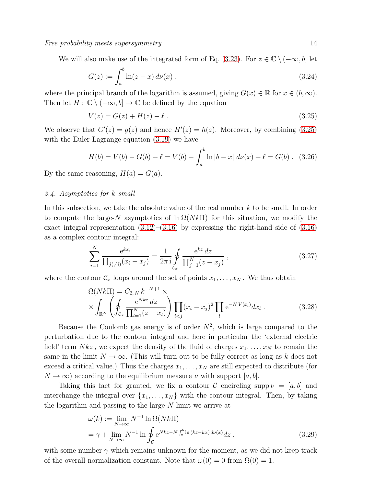We will also make use of the integrated form of Eq. [\(3.23\)](#page-12-2). For  $z \in \mathbb{C} \setminus (-\infty, b]$  let

$$
G(z) := \int_{a}^{b} \ln(z - x) \, d\nu(x) \;, \tag{3.24}
$$

where the principal branch of the logarithm is assumed, giving  $G(x) \in \mathbb{R}$  for  $x \in (b, \infty)$ . Then let  $H: \mathbb{C} \setminus (-\infty, b] \to \mathbb{C}$  be defined by the equation

<span id="page-13-0"></span>
$$
V(z) = G(z) + H(z) - \ell.
$$
\n(3.25)

We observe that  $G'(z) = g(z)$  and hence  $H'(z) = h(z)$ . Moreover, by combining [\(3.25\)](#page-13-0) with the Euler-Lagrange equation [\(3.19\)](#page-12-0) we have

$$
H(b) = V(b) - G(b) + \ell = V(b) - \int_{a}^{b} \ln|b - x| \, d\nu(x) + \ell = G(b). \tag{3.26}
$$

<span id="page-13-3"></span>By the same reasoning,  $H(a) = G(a)$ .

### 3.4. Asymptotics for k small

In this subsection, we take the absolute value of the real number k to be small. In order to compute the large-N asymptotics of  $\ln \Omega(Nk\Pi)$  for this situation, we modify the exact integral representation  $(3.12)$ – $(3.16)$  by expressing the right-hand side of  $(3.16)$ as a complex contour integral:

<span id="page-13-2"></span>
$$
\sum_{i=1}^{N} \frac{e^{kx_i}}{\prod_{j(\neq i)} (x_i - x_j)} = \frac{1}{2\pi i} \oint_{\mathcal{C}_x} \frac{e^{kz} dz}{\prod_{j=1}^{N} (z - x_j)},
$$
\n(3.27)

where the contour  $\mathcal{C}_x$  loops around the set of points  $x_1, \ldots, x_N$ . We thus obtain

$$
\Omega(Nk\Pi) = C_{2,N} k^{-N+1} \times \times \int_{\mathbb{R}^N} \left( \oint_{\mathcal{C}_x} \frac{e^{Nkz} dz}{\prod_{l=1}^N (z - x_l)} \right) \prod_{i < j} (x_i - x_j)^2 \prod_l e^{-NV(x_l)} dx_l \,. \tag{3.28}
$$

Because the Coulomb gas energy is of order  $N^2$ , which is large compared to the perturbation due to the contour integral and here in particular the 'external electric field' term  $Nkz$ , we expect the density of the fluid of charges  $x_1, \ldots, x_N$  to remain the same in the limit  $N \to \infty$ . (This will turn out to be fully correct as long as k does not exceed a critical value.) Thus the charges  $x_1, \ldots, x_N$  are still expected to distribute (for  $N \to \infty$ ) according to the equilibrium measure  $\nu$  with support [a, b].

Taking this fact for granted, we fix a contour C encircling supp  $\nu = [a, b]$  and interchange the integral over  $\{x_1, \ldots, x_N\}$  with the contour integral. Then, by taking the logarithm and passing to the large- $N$  limit we arrive at

<span id="page-13-1"></span>
$$
\omega(k) := \lim_{N \to \infty} N^{-1} \ln \Omega(Nk\Pi)
$$
  
=  $\gamma + \lim_{N \to \infty} N^{-1} \ln \oint_C e^{Nkz - N \int_a^b \ln (kz - kx) d\nu(x)} dz$ , (3.29)

with some number  $\gamma$  which remains unknown for the moment, as we did not keep track of the overall normalization constant. Note that  $\omega(0) = 0$  from  $\Omega(0) = 1$ .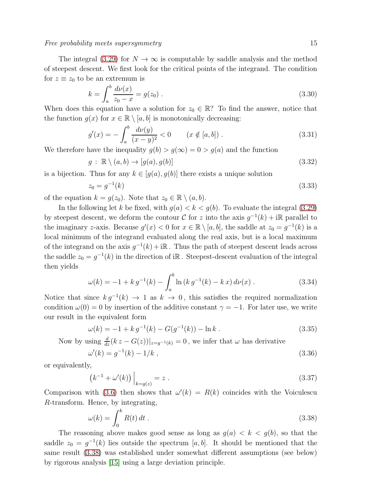Free probability meets supersymmetry and the state of the state of  $15$ 

The integral [\(3.29\)](#page-13-1) for  $N \to \infty$  is computable by saddle analysis and the method of steepest descent. We first look for the critical points of the integrand. The condition for  $z \equiv z_0$  to be an extremum is

$$
k = \int_{a}^{b} \frac{d\nu(x)}{z_0 - x} = g(z_0).
$$
 (3.30)

When does this equation have a solution for  $z_0 \in \mathbb{R}$ ? To find the answer, notice that the function  $g(x)$  for  $x \in \mathbb{R} \setminus [a, b]$  is monotonically decreasing:

$$
g'(x) = -\int_{a}^{b} \frac{d\nu(y)}{(x-y)^2} < 0 \qquad (x \notin [a, b]).
$$
 (3.31)

We therefore have the inequality  $q(b) > q(\infty) = 0 > q(a)$  and the function

$$
g: \mathbb{R} \setminus (a, b) \to [g(a), g(b)] \tag{3.32}
$$

is a bijection. Thus for any  $k \in [g(a), g(b)]$  there exists a unique solution

$$
z_0 = g^{-1}(k) \tag{3.33}
$$

of the equation  $k = g(z_0)$ . Note that  $z_0 \in \mathbb{R} \setminus (a, b)$ .

In the following let k be fixed, with  $g(a) < k < g(b)$ . To evaluate the integral [\(3.29\)](#page-13-1) by steepest descent, we deform the contour  $C$  for z into the axis  $g^{-1}(k) + i\mathbb{R}$  parallel to the imaginary z-axis. Because  $g'(x) < 0$  for  $x \in \mathbb{R} \setminus [a, b]$ , the saddle at  $z_0 = g^{-1}(k)$  is a local minimum of the integrand evaluated along the real axis, but is a local maximum of the integrand on the axis  $g^{-1}(k) + i\mathbb{R}$ . Thus the path of steepest descent leads across the saddle  $z_0 = g^{-1}(k)$  in the direction of iR. Steepest-descent evaluation of the integral then yields

<span id="page-14-1"></span>
$$
\omega(k) = -1 + k g^{-1}(k) - \int_{a}^{b} \ln(k g^{-1}(k) - k x) d\nu(x) . \qquad (3.34)
$$

Notice that since  $k g^{-1}(k) \to 1$  as  $k \to 0$ , this satisfies the required normalization condition  $\omega(0) = 0$  by insertion of the additive constant  $\gamma = -1$ . For later use, we write our result in the equivalent form

$$
\omega(k) = -1 + k g^{-1}(k) - G(g^{-1}(k)) - \ln k . \qquad (3.35)
$$

Now by using  $\frac{d}{dz}(kz - G(z))|_{z=g^{-1}(k)} = 0$ , we infer that  $\omega$  has derivative

$$
\omega'(k) = g^{-1}(k) - 1/k \tag{3.36}
$$

or equivalently,

$$
(k^{-1} + \omega'(k)) \Big|_{k=g(z)} = z . \tag{3.37}
$$

Comparison with [\(3.6\)](#page-9-3) then shows that  $\omega'(k) = R(k)$  coincides with the Voiculescu R-transform. Hence, by integrating,

<span id="page-14-0"></span>
$$
\omega(k) = \int_0^k R(t) dt . \qquad (3.38)
$$

The reasoning above makes good sense as long as  $g(a) < k < g(b)$ , so that the saddle  $z_0 = g^{-1}(k)$  lies outside the spectrum [a, b]. It should be mentioned that the same result [\(3.38\)](#page-14-0) was established under somewhat different assumptions (see below) by rigorous analysis [\[15\]](#page-36-2) using a large deviation principle.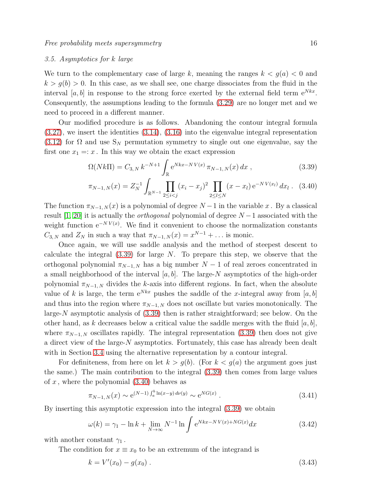# <span id="page-15-1"></span>3.5. Asymptotics for k large

We turn to the complementary case of large k, meaning the ranges  $k < g(a) < 0$  and  $k > g(b) > 0$ . In this case, as we shall see, one charge dissociates from the fluid in the interval [a, b] in response to the strong force exerted by the external field term  $e^{Nkx}$ . Consequently, the assumptions leading to the formula [\(3.29\)](#page-13-1) are no longer met and we need to proceed in a different manner.

Our modified procedure is as follows. Abandoning the contour integral formula  $(3.27)$ , we insert the identities  $(3.14)$ ,  $(3.16)$  into the eigenvalue integral representation [\(3.12\)](#page-11-0) for  $\Omega$  and use  $S_N$  permutation symmetry to single out one eigenvalue, say the first one  $x_1 =: x$ . In this way we obtain the exact expression

<span id="page-15-0"></span>
$$
\Omega(Nk\Pi) = C_{3,N} k^{-N+1} \int_{\mathbb{R}} e^{Nkx - NV(x)} \, \pi_{N-1,N}(x) \, dx \,, \tag{3.39}
$$

$$
\pi_{N-1,N}(x) = Z_N^{-1} \int_{\mathbb{R}^{N-1}} \prod_{2 \le i < j} (x_i - x_j)^2 \prod_{2 \le l \le N} (x - x_l) e^{-NV(x_l)} dx_l \tag{3.40}
$$

The function  $\pi_{N-1,N}(x)$  is a polynomial of degree  $N-1$  in the variable x. By a classical result [\[1,](#page-36-6) [20\]](#page-37-11) it is actually the *orthogonal* polynomial of degree  $N-1$  associated with the weight function  $e^{-NV(x)}$ . We find it convenient to choose the normalization constants  $C_{3,N}$  and  $Z_N$  in such a way that  $\pi_{N-1,N}(x) = x^{N-1} + \dots$  is monic.

Once again, we will use saddle analysis and the method of steepest descent to calculate the integral  $(3.39)$  for large N. To prepare this step, we observe that the orthogonal polynomial  $\pi_{N-1,N}$  has a big number  $N-1$  of real zeroes concentrated in a small neighborhood of the interval  $[a, b]$ . The large-N asymptotics of the high-order polynomial  $\pi_{N-1,N}$  divides the k-axis into different regions. In fact, when the absolute value of k is large, the term  $e^{Nkx}$  pushes the saddle of the x-integral away from [a, b] and thus into the region where  $\pi_{N-1,N}$  does not oscillate but varies monotonically. The large- $N$  asymptotic analysis of  $(3.39)$  then is rather straightforward; see below. On the other hand, as k decreases below a critical value the saddle merges with the fluid  $[a, b]$ , where  $\pi_{N-1, N}$  oscillates rapidly. The integral representation [\(3.39\)](#page-15-0) then does not give a direct view of the large-N asymptotics. Fortunately, this case has already been dealt with in Section [3.4](#page-13-3) using the alternative representation by a contour integral.

For definiteness, from here on let  $k > g(b)$ . (For  $k < g(a)$  the argument goes just the same.) The main contribution to the integral [\(3.39\)](#page-15-0) then comes from large values of x, where the polynomial  $(3.40)$  behaves as

$$
\pi_{N-1,N}(x) \sim e^{(N-1)\int_a^b \ln(x-y) \, d\nu(y)} \sim e^{NG(x)} \,. \tag{3.41}
$$

By inserting this asymptotic expression into the integral [\(3.39\)](#page-15-0) we obtain

<span id="page-15-2"></span>
$$
\omega(k) = \gamma_1 - \ln k + \lim_{N \to \infty} N^{-1} \ln \int e^{Nkx - NV(x) + NG(x)} dx \qquad (3.42)
$$

with another constant  $\gamma_1$ .

The condition for  $x \equiv x_0$  to be an extremum of the integrand is

$$
k = V'(x_0) - g(x_0) \tag{3.43}
$$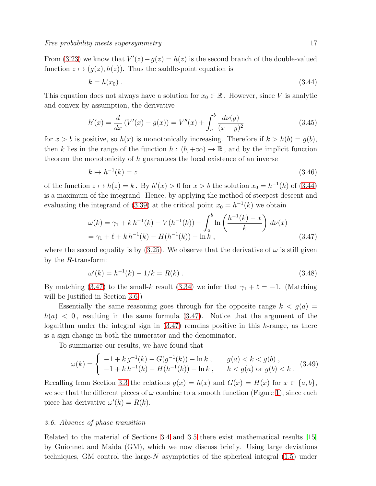From [\(3.23\)](#page-12-2) we know that  $V'(z) - g(z) = h(z)$  is the second branch of the double-valued function  $z \mapsto (q(z), h(z))$ . Thus the saddle-point equation is

<span id="page-16-1"></span>
$$
k = h(x_0) \tag{3.44}
$$

This equation does not always have a solution for  $x_0 \in \mathbb{R}$ . However, since V is analytic and convex by assumption, the derivative

$$
h'(x) = \frac{d}{dx} (V'(x) - g(x)) = V''(x) + \int_a^b \frac{d\nu(y)}{(x - y)^2}
$$
(3.45)

for  $x > b$  is positive, so  $h(x)$  is monotonically increasing. Therefore if  $k > h(b) = g(b)$ , then k lies in the range of the function  $h : (b, +\infty) \to \mathbb{R}$ , and by the implicit function theorem the monotonicity of h guarantees the local existence of an inverse

$$
k \mapsto h^{-1}(k) = z \tag{3.46}
$$

of the function  $z \mapsto h(z) = k$ . By  $h'(x) > 0$  for  $x > b$  the solution  $x_0 = h^{-1}(k)$  of [\(3.44\)](#page-16-1) is a maximum of the integrand. Hence, by applying the method of steepest descent and evaluating the integrand of [\(3.39\)](#page-15-0) at the critical point  $x_0 = h^{-1}(k)$  we obtain

<span id="page-16-2"></span>
$$
\omega(k) = \gamma_1 + k h^{-1}(k) - V(h^{-1}(k)) + \int_a^b \ln\left(\frac{h^{-1}(k) - x}{k}\right) d\nu(x)
$$
  
=  $\gamma_1 + \ell + k h^{-1}(k) - H(h^{-1}(k)) - \ln k$ , (3.47)

where the second equality is by [\(3.25\)](#page-13-0). We observe that the derivative of  $\omega$  is still given by the R-transform:

$$
\omega'(k) = h^{-1}(k) - 1/k = R(k) \tag{3.48}
$$

By matching [\(3.47\)](#page-16-2) to the small-k result [\(3.34\)](#page-14-1) we infer that  $\gamma_1 + \ell = -1$ . (Matching will be justified in Section [3.6.](#page-16-0))

Essentially the same reasoning goes through for the opposite range  $k < g(a)$  $h(a) < 0$ , resulting in the same formula [\(3.47\)](#page-16-2). Notice that the argument of the logarithm under the integral sign in  $(3.47)$  remains positive in this k-range, as there is a sign change in both the numerator and the denominator.

To summarize our results, we have found that

$$
\omega(k) = \begin{cases}\n-1 + k g^{-1}(k) - G(g^{-1}(k)) - \ln k, & g(a) < k < g(b), \\
-1 + k h^{-1}(k) - H(h^{-1}(k)) - \ln k, & k < g(a) \text{ or } g(b) < k.\n\end{cases}
$$
\n(3.49)

Recalling from Section [3.3](#page-12-3) the relations  $g(x) = h(x)$  and  $G(x) = H(x)$  for  $x \in \{a, b\}$ , we see that the different pieces of  $\omega$  combine to a smooth function (Figure [1\)](#page-17-0), since each piece has derivative  $\omega'(k) = R(k)$ .

### <span id="page-16-0"></span>3.6. Absence of phase transition

Related to the material of Sections [3.4](#page-13-3) and [3.5](#page-15-1) there exist mathematical results [\[15\]](#page-36-2) by Guionnet and Maida (GM), which we now discuss briefly. Using large deviations techniques, GM control the large- $N$  asymptotics of the spherical integral  $(1.5)$  under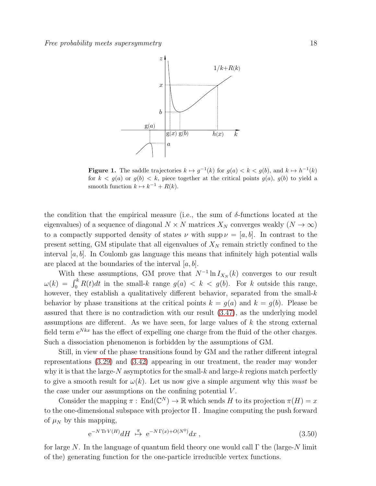

<span id="page-17-0"></span>**Figure 1.** The saddle trajectories  $k \mapsto g^{-1}(k)$  for  $g(a) < k < g(b)$ , and  $k \mapsto h^{-1}(k)$ for  $k < g(a)$  or  $g(b) < k$ , piece together at the critical points  $g(a)$ ,  $g(b)$  to yield a smooth function  $k \mapsto k^{-1} + R(k)$ .

the condition that the empirical measure (i.e., the sum of  $\delta$ -functions located at the eigenvalues) of a sequence of diagonal  $N \times N$  matrices  $X_N$  converges weakly  $(N \to \infty)$ to a compactly supported density of states  $\nu$  with supp  $\nu = [a, b]$ . In contrast to the present setting, GM stipulate that all eigenvalues of  $X_N$  remain strictly confined to the interval  $[a, b]$ . In Coulomb gas language this means that infinitely high potential walls are placed at the boundaries of the interval  $[a, b]$ .

With these assumptions, GM prove that  $N^{-1}\ln I_{X_N}(k)$  converges to our result  $\omega(k) = \int_0^k R(t)dt$  in the small-k range  $g(a) < k < g(b)$ . For k outside this range, however, they establish a qualitatively different behavior, separated from the small- $k$ behavior by phase transitions at the critical points  $k = g(a)$  and  $k = g(b)$ . Please be assured that there is no contradiction with our result [\(3.47\)](#page-16-2), as the underlying model assumptions are different. As we have seen, for large values of  $k$  the strong external field term  $e^{Nkx}$  has the effect of expelling one charge from the fluid of the other charges. Such a dissociation phenomenon is forbidden by the assumptions of GM.

Still, in view of the phase transitions found by GM and the rather different integral representations [\(3.29\)](#page-13-1) and [\(3.42\)](#page-15-2) appearing in our treatment, the reader may wonder why it is that the large- $N$  asymptotics for the small- $k$  and large- $k$  regions match perfectly to give a smooth result for  $\omega(k)$ . Let us now give a simple argument why this *must* be the case under our assumptions on the confining potential  $V$ .

Consider the mapping  $\pi$ : End $(\mathbb{C}^N) \to \mathbb{R}$  which sends H to its projection  $\pi(H) = x$ to the one-dimensional subspace with projector Π . Imagine computing the push forward of  $\mu_N$  by this mapping,

$$
e^{-N \operatorname{Tr} V(H)} dH \stackrel{\pi}{\mapsto} e^{-N \Gamma(x) + O(N^0)} dx , \qquad (3.50)
$$

for large N. In the language of quantum field theory one would call  $\Gamma$  the (large-N limit of the) generating function for the one-particle irreducible vertex functions.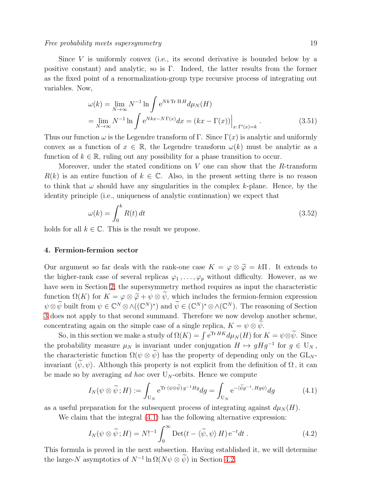### Free probability meets supersymmetry that the control of the supersymmetry of the state of the state of the state of the state of the state of the state of the state of the state of the state of the state of the state of t

$$
\omega(k) = \lim_{N \to \infty} N^{-1} \ln \int e^{Nk \operatorname{Tr} \Pi H} d\mu_N(H)
$$
  
= 
$$
\lim_{N \to \infty} N^{-1} \ln \int e^{Nkx - N\Gamma(x)} dx = (kx - \Gamma(x)) \Big|_{x: \Gamma'(x) = k}.
$$
 (3.51)

Thus our function  $\omega$  is the Legendre transform of Γ. Since  $\Gamma(x)$  is analytic and uniformly convex as a function of  $x \in \mathbb{R}$ , the Legendre transform  $\omega(k)$  must be analytic as a function of  $k \in \mathbb{R}$ , ruling out any possibility for a phase transition to occur.

Moreover, under the stated conditions on V one can show that the R-transform  $R(k)$  is an entire function of  $k \in \mathbb{C}$ . Also, in the present setting there is no reason to think that  $\omega$  should have any singularities in the complex k-plane. Hence, by the identity principle (i.e., uniqueness of analytic continuation) we expect that

<span id="page-18-3"></span>
$$
\omega(k) = \int_0^k R(t) dt
$$
\n(3.52)

<span id="page-18-0"></span>holds for all  $k \in \mathbb{C}$ . This is the result we propose.

# 4. Fermion-fermion sector

Our argument so far deals with the rank-one case  $K = \varphi \otimes \widetilde{\varphi} = k \Pi$ . It extends to the higher-rank case of several replicas  $\varphi_1, \ldots, \varphi_p$  without difficulty. However, as we have seen in Section [2,](#page-4-0) the supersymmetry method requires as input the characteristic function  $\Omega(K)$  for  $K = \varphi \otimes \tilde{\varphi} + \psi \otimes \tilde{\psi}$ , which includes the fermion-fermion expression  $\psi \otimes \widetilde{\psi}$  built from  $\psi \in \mathbb{C}^N \otimes \wedge((\mathbb{C}^N)^*)$  and  $\widetilde{\psi} \in (\mathbb{C}^N)^* \otimes \wedge(\mathbb{C}^N)$ . The reasoning of Section [3](#page-9-0) does not apply to that second summand. Therefore we now develop another scheme, concentrating again on the simple case of a single replica,  $K = \psi \otimes \psi$ .

So, in this section we make a study of  $\Omega(K) = \int e^{Tr HK} d\mu_N(H)$  for  $K = \psi \otimes \widetilde{\psi}$ . Since the probability measure  $\mu_N$  is invariant under conjugation  $H \mapsto gHg^{-1}$  for  $g \in U_N$ , the characteristic function  $\Omega(\psi \otimes \widetilde{\psi})$  has the property of depending only on the  $GL_N$ invariant  $\langle \psi, \psi \rangle$ . Although this property is not explicit from the definition of  $\Omega$ , it can be made so by averaging ad hoc over  $U_N$ -orbits. Hence we compute

<span id="page-18-1"></span>
$$
I_N(\psi \otimes \widetilde{\psi}; H) := \int_{U_N} e^{\text{Tr } (\psi \otimes \widetilde{\psi})g^{-1}Hg} dg = \int_{U_N} e^{-\langle \widetilde{\psi}g^{-1}, Hg\psi \rangle} dg \tag{4.1}
$$

as a useful preparation for the subsequent process of integrating against  $d\mu_N(H)$ .

We claim that the integral  $(4.1)$  has the following alternative expression:

<span id="page-18-2"></span>
$$
I_N(\psi \otimes \widetilde{\psi}; H) = N!^{-1} \int_0^\infty \text{Det}(t - \langle \widetilde{\psi}, \psi \rangle H) e^{-t} dt . \qquad (4.2)
$$

This formula is proved in the next subsection. Having established it, we will determine the large-N asymptotics of  $N^{-1} \ln \Omega(N\psi \otimes \psi)$  in Section [4.2.](#page-20-0)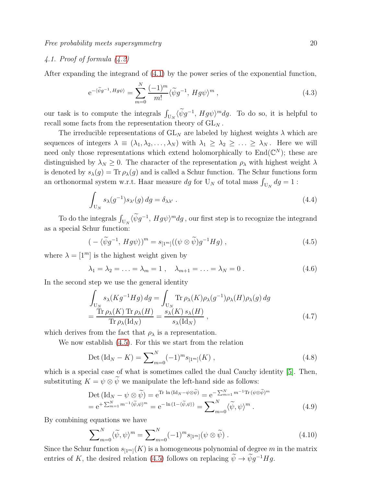# 4.1. Proof of formula [\(4.2\)](#page-18-2)

After expanding the integrand of [\(4.1\)](#page-18-1) by the power series of the exponential function,

$$
e^{-\langle \widetilde{\psi}g^{-1}, Hg\psi\rangle} = \sum_{m=0}^{N} \frac{(-1)^m}{m!} \langle \widetilde{\psi}g^{-1}, Hg\psi\rangle^m , \qquad (4.3)
$$

our task is to compute the integrals  $\int_{U_N} \langle \widetilde{\psi} g^{-1}, Hg\psi \rangle^m dg$ . To do so, it is helpful to recall some facts from the representation theory of  $\operatorname{GL}\nolimits_N$  .

The irreducible representations of  $GL_N$  are labeled by highest weights  $\lambda$  which are sequences of integers  $\lambda \equiv (\lambda_1, \lambda_2, \ldots, \lambda_N)$  with  $\lambda_1 \geq \lambda_2 \geq \ldots \geq \lambda_N$ . Here we will need only those representations which extend holomorphically to  $\text{End}(\mathbb{C}^N)$ ; these are distinguished by  $\lambda_N \geq 0$ . The character of the representation  $\rho_{\lambda}$  with highest weight  $\lambda$ is denoted by  $s_{\lambda}(g) = \text{Tr} \rho_{\lambda}(g)$  and is called a Schur function. The Schur functions form an orthonormal system w.r.t. Haar measure  $dg$  for  $U_N$  of total mass  $\int_{U_N} dg = 1$ :

$$
\int_{U_N} s_\lambda(g^{-1}) s_{\lambda'}(g) dg = \delta_{\lambda\lambda'}.
$$
\n(4.4)

To do the integrals  $\int_{U_N} \langle \widetilde{\psi} g^{-1}, Hg\psi \rangle^m dg$ , our first step is to recognize the integrand as a special Schur function:

<span id="page-19-0"></span>
$$
(-\langle \widetilde{\psi}g^{-1}, Hg\psi \rangle)^m = s_{[1^m]}((\psi \otimes \widetilde{\psi})g^{-1}Hg) , \qquad (4.5)
$$

where  $\lambda = [1^m]$  is the highest weight given by

$$
\lambda_1 = \lambda_2 = \ldots = \lambda_m = 1 \,, \quad \lambda_{m+1} = \ldots = \lambda_N = 0 \,.
$$
 (4.6)

In the second step we use the general identity

<span id="page-19-1"></span>
$$
\int_{U_N} s_{\lambda}(Kg^{-1}Hg) dg = \int_{U_N} \text{Tr}\,\rho_{\lambda}(K)\rho_{\lambda}(g^{-1})\rho_{\lambda}(H)\rho_{\lambda}(g) dg
$$
\n
$$
= \frac{\text{Tr}\,\rho_{\lambda}(K)\,\text{Tr}\,\rho_{\lambda}(H)}{\text{Tr}\,\rho_{\lambda}(\text{Id}_N)} = \frac{s_{\lambda}(K)\,s_{\lambda}(H)}{s_{\lambda}(\text{Id}_N)},
$$
\n(4.7)

which derives from the fact that  $\rho_{\lambda}$  is a representation.

We now establish [\(4.5\)](#page-19-0). For this we start from the relation

<span id="page-19-2"></span>
$$
Det (Id_N - K) = \sum_{m=0}^{N} (-1)^m s_{[1^m]}(K) ,
$$
\n(4.8)

which is a special case of what is sometimes called the dual Cauchy identity [\[5\]](#page-36-7). Then, substituting  $K = \psi \otimes \widetilde{\psi}$  we manipulate the left-hand side as follows:

$$
\text{Det} \left( \text{Id}_{N} - \psi \otimes \widetilde{\psi} \right) = e^{\text{Tr} \ln \left( \text{Id}_{N} - \psi \otimes \widetilde{\psi} \right)} = e^{-\sum_{m=1}^{N} m^{-1} \text{Tr} \left( \psi \otimes \widetilde{\psi} \right)^{m}}
$$
\n
$$
= e^{+ \sum_{m=1}^{N} m^{-1} \langle \widetilde{\psi}, \psi \rangle^{m}} = e^{-\ln \left( 1 - \langle \widetilde{\psi}, \psi \rangle \right)} = \sum_{m=0}^{N} \langle \widetilde{\psi}, \psi \rangle^{m} . \tag{4.9}
$$

By combining equations we have

$$
\sum_{m=0}^{N} \langle \widetilde{\psi}, \psi \rangle^{m} = \sum_{m=0}^{N} (-1)^{m} s_{[1^{m}]}(\psi \otimes \widetilde{\psi}) . \tag{4.10}
$$

Since the Schur function  $s_{[1^m]}(K)$  is a homogeneous polynomial of degree m in the matrix entries of K, the desired relation [\(4.5\)](#page-19-0) follows on replacing  $\widetilde{\psi} \to \widetilde{\psi} g^{-1} H g$ .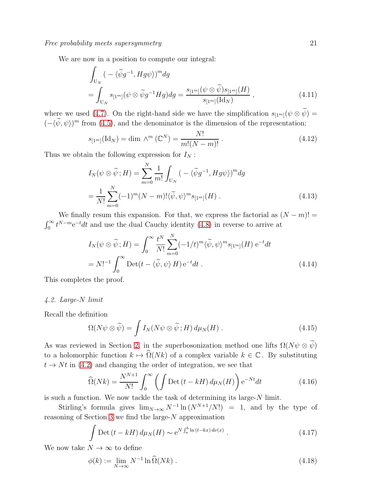We are now in a position to compute our integral:

$$
\int_{U_N} \left( -\langle \widetilde{\psi}g^{-1}, Hg\psi \rangle \right)^m dg
$$
\n
$$
= \int_{U_N} s_{[1^m]} (\psi \otimes \widetilde{\psi}g^{-1} Hg) dg = \frac{s_{[1^m]} (\psi \otimes \widetilde{\psi}) s_{[1^m]} (H)}{s_{[1^m]} (Id_N)},
$$
\n(4.11)

where we used [\(4.7\)](#page-19-1). On the right-hand side we have the simplification  $s_{[1^m]}(\psi \otimes \tilde{\psi}) =$  $(-\langle \psi, \psi \rangle)^m$  from [\(4.5\)](#page-19-0), and the denominator is the dimension of the representation:

$$
s_{[1^m]}(\text{Id}_N) = \dim \wedge^m (\mathbb{C}^N) = \frac{N!}{m!(N-m)!} \,. \tag{4.12}
$$

Thus we obtain the following expression for  $I_N$ :

$$
I_N(\psi \otimes \widetilde{\psi}; H) = \sum_{m=0}^N \frac{1}{m!} \int_{U_N} \left( -\langle \widetilde{\psi}g^{-1}, Hg\psi \rangle \right)^m dg
$$
  
= 
$$
\frac{1}{N!} \sum_{m=0}^N (-1)^m (N-m)! \langle \widetilde{\psi}, \psi \rangle^m s_{[1^m]}(H) .
$$
 (4.13)

We finally resum this expansion. For that, we express the factorial as  $(N - m)!$  =  $\int_0^\infty t^{N-m} e^{-t} dt$  and use the dual Cauchy identity [\(4.8\)](#page-19-2) in reverse to arrive at

$$
I_N(\psi \otimes \widetilde{\psi}; H) = \int_0^\infty \frac{t^N}{N!} \sum_{m=0}^N (-1/t)^m \langle \widetilde{\psi}, \psi \rangle^m s_{[1^m]}(H) e^{-t} dt
$$
  
=  $N!^{-1} \int_0^\infty \text{Det}(t - \langle \widetilde{\psi}, \psi \rangle H) e^{-t} dt$ . (4.14)

<span id="page-20-0"></span>This completes the proof.

### 4.2. Large-N limit

Recall the definition

$$
\Omega(N\psi \otimes \widetilde{\psi}) = \int I_N(N\psi \otimes \widetilde{\psi}; H) d\mu_N(H).
$$
 (4.15)

As was reviewed in Section [2,](#page-4-0) in the superbosonization method one lifts  $\Omega(N\psi \otimes \tilde{\psi})$ to a holomorphic function  $k \mapsto \widehat{\Omega}(Nk)$  of a complex variable  $k \in \mathbb{C}$ . By substituting  $t \rightarrow Nt$  in [\(4.2\)](#page-18-2) and changing the order of integration, we see that

$$
\widehat{\Omega}(Nk) = \frac{N^{N+1}}{N!} \int_0^\infty \left( \int \mathrm{Det}\,(t - k) \, d\mu_N(H) \right) e^{-Nt} dt \tag{4.16}
$$

is such a function. We now tackle the task of determining its large-N limit.

Stirling's formula gives  $\lim_{N\to\infty} N^{-1} \ln(N^{N+1}/N!) = 1$ , and by the type of reasoning of Section [3](#page-9-0) we find the large- $N$  approximation

$$
\int \mathrm{Det}\left(t - kH\right) d\mu_N(H) \sim \mathrm{e}^{N \int_a^b \ln\left(t - kx\right) d\nu(x)}\,. \tag{4.17}
$$

We now take  $N \to \infty$  to define

$$
\phi(k) := \lim_{N \to \infty} N^{-1} \ln \widehat{\Omega}(Nk) . \tag{4.18}
$$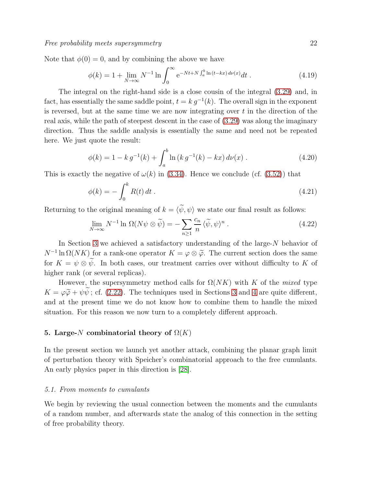Note that  $\phi(0) = 0$ , and by combining the above we have

$$
\phi(k) = 1 + \lim_{N \to \infty} N^{-1} \ln \int_0^\infty e^{-Nt + N \int_a^b \ln (t - kx) \, d\nu(x)} dt \,. \tag{4.19}
$$

The integral on the right-hand side is a close cousin of the integral [\(3.29\)](#page-13-1) and, in fact, has essentially the same saddle point,  $t = k g^{-1}(k)$ . The overall sign in the exponent is reversed, but at the same time we are now integrating over  $t$  in the direction of the real axis, while the path of steepest descent in the case of [\(3.29\)](#page-13-1) was along the imaginary direction. Thus the saddle analysis is essentially the same and need not be repeated here. We just quote the result:

$$
\phi(k) = 1 - k g^{-1}(k) + \int_{a}^{b} \ln (k g^{-1}(k) - kx) d\nu(x) . \qquad (4.20)
$$

This is exactly the negative of  $\omega(k)$  in [\(3.34\)](#page-14-1). Hence we conclude (cf. [\(3.52\)](#page-18-3)) that

$$
\phi(k) = -\int_0^k R(t) dt . \tag{4.21}
$$

Returning to the original meaning of  $k = \langle \tilde{\psi}, \psi \rangle$  we state our final result as follows:

$$
\lim_{N \to \infty} N^{-1} \ln \Omega(N\psi \otimes \widetilde{\psi}) = -\sum_{n \ge 1} \frac{c_n}{n} \langle \widetilde{\psi}, \psi \rangle^n. \tag{4.22}
$$

In Section [3](#page-9-0) we achieved a satisfactory understanding of the large-N behavior of  $N^{-1} \ln \Omega(NK)$  for a rank-one operator  $K = \varphi \otimes \tilde{\varphi}$ . The current section does the same for  $K = \psi \otimes \widetilde{\psi}$ . In both cases, our treatment carries over without difficulty to K of higher rank (or several replicas).

However, the supersymmetry method calls for  $\Omega(NK)$  with K of the mixed type  $K = \varphi \widetilde{\varphi} + \psi \widetilde{\psi}$ ; cf. [\(2.22\)](#page-7-0). The techniques used in Sections [3](#page-9-0) and [4](#page-18-0) are quite different, and at the present time we do not know how to combine them to handle the mixed situation. For this reason we now turn to a completely different approach.

# <span id="page-21-0"></span>5. Large-N combinatorial theory of  $\Omega(K)$

In the present section we launch yet another attack, combining the planar graph limit of perturbation theory with Speicher's combinatorial approach to the free cumulants. An early physics paper in this direction is [\[28\]](#page-37-9).

### 5.1. From moments to cumulants

We begin by reviewing the usual connection between the moments and the cumulants of a random number, and afterwards state the analog of this connection in the setting of free probability theory.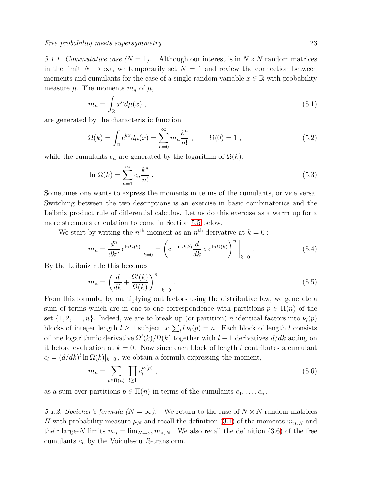5.1.1. Commutative case  $(N = 1)$ . Although our interest is in  $N \times N$  random matrices in the limit  $N \to \infty$ , we temporarily set  $N = 1$  and review the connection between moments and cumulants for the case of a single random variable  $x \in \mathbb{R}$  with probability measure  $\mu$ . The moments  $m_n$  of  $\mu$ ,

$$
m_n = \int_{\mathbb{R}} x^n d\mu(x) , \qquad (5.1)
$$

are generated by the characteristic function,

$$
\Omega(k) = \int_{\mathbb{R}} e^{kx} d\mu(x) = \sum_{n=0}^{\infty} m_n \frac{k^n}{n!}, \qquad \Omega(0) = 1, \qquad (5.2)
$$

while the cumulants  $c_n$  are generated by the logarithm of  $\Omega(k)$ :

$$
\ln \Omega(k) = \sum_{n=1}^{\infty} c_n \frac{k^n}{n!} \,. \tag{5.3}
$$

Sometimes one wants to express the moments in terms of the cumulants, or vice versa. Switching between the two descriptions is an exercise in basic combinatorics and the Leibniz product rule of differential calculus. Let us do this exercise as a warm up for a more strenuous calculation to come in Section [5.5](#page-26-0) below.

We start by writing the  $n^{\text{th}}$  moment as an  $n^{\text{th}}$  derivative at  $k = 0$ :

<span id="page-22-1"></span>
$$
m_n = \frac{d^n}{dk^n} e^{\ln \Omega(k)} \Big|_{k=0} = \left( e^{-\ln \Omega(k)} \frac{d}{dk} \circ e^{\ln \Omega(k)} \right)^n \Big|_{k=0}.
$$
 (5.4)

By the Leibniz rule this becomes

$$
m_n = \left(\frac{d}{dk} + \frac{\Omega'(k)}{\Omega(k)}\right)^n \bigg|_{k=0} \,. \tag{5.5}
$$

From this formula, by multiplying out factors using the distributive law, we generate a sum of terms which are in one-to-one correspondence with partitions  $p \in \Pi(n)$  of the set  $\{1, 2, \ldots, n\}$ . Indeed, we are to break up (or partition) n identical factors into  $\nu_l(p)$ blocks of integer length  $l \geq 1$  subject to  $\sum_l l \nu_l(p) = n$ . Each block of length l consists of one logarithmic derivative  $\Omega'(k)/\Omega(k)$  together with  $l-1$  derivatives  $d/dk$  acting on it before evaluation at  $k = 0$ . Now since each block of length l contributes a cumulant  $c_l = (d/dk)^l \ln \Omega(k)|_{k=0}$ , we obtain a formula expressing the moment,

<span id="page-22-0"></span>
$$
m_n = \sum_{p \in \Pi(n)} \prod_{l \ge 1} c_l^{\nu_l(p)} \,, \tag{5.6}
$$

as a sum over partitions  $p \in \Pi(n)$  in terms of the cumulants  $c_1, \ldots, c_n$ .

5.1.2. Speicher's formula  $(N = \infty)$ . We return to the case of  $N \times N$  random matrices H with probability measure  $\mu_N$  and recall the definition [\(3.1\)](#page-9-4) of the moments  $m_{n,N}$  and their large-N limits  $m_n = \lim_{N \to \infty} m_{n,N}$ . We also recall the definition [\(3.6\)](#page-9-3) of the free cumulants  $c_n$  by the Voiculescu R-transform.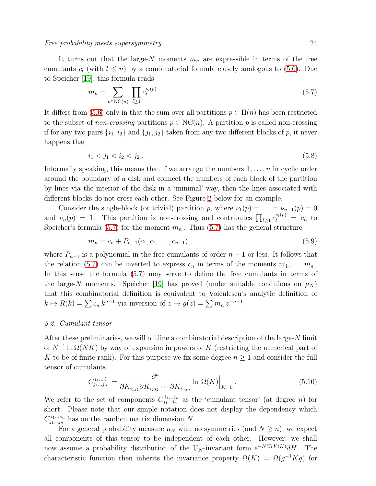Free probability meets supersymmetry and the control of the control of  $24$ 

It turns out that the large-N moments  $m_n$  are expressible in terms of the free cumulants  $c_l$  (with  $l \leq n$ ) by a combinatorial formula closely analogous to [\(5.6\)](#page-22-0). Due to Speicher [\[19\]](#page-37-3), this formula reads

<span id="page-23-0"></span>
$$
m_n = \sum_{p \in \text{NC}(n)} \prod_{l \ge 1} c_l^{\nu_l(p)} \,. \tag{5.7}
$$

It differs from [\(5.6\)](#page-22-0) only in that the sum over all partitions  $p \in \Pi(n)$  has been restricted to the subset of *non-crossing* partitions  $p \in NC(n)$ . A partition p is called non-crossing if for any two pairs  $\{i_1, i_2\}$  and  $\{j_1, j_2\}$  taken from any two different blocks of p, it never happens that

$$
i_1 < j_1 < i_2 < j_2 \tag{5.8}
$$

Informally speaking, this means that if we arrange the numbers  $1, \ldots, n$  in cyclic order around the boundary of a disk and connect the numbers of each block of the partition by lines via the interior of the disk in a 'minimal' way, then the lines associated with different blocks do not cross each other. See Figure [2](#page-28-0) below for an example.

Consider the single-block (or trivial) partition p, where  $\nu_1(p) = \ldots = \nu_{n-1}(p) = 0$ and  $\nu_n(p) = 1$ . This partition is non-crossing and contributes  $\prod_{l \geq 1} c_l^{\nu_l(p)} = c_n$  to Speicher's formula [\(5.7\)](#page-23-0) for the moment  $m_n$ . Thus (5.7) has the general structure

$$
m_n = c_n + P_{n-1}(c_1, c_2, \dots, c_{n-1}), \qquad (5.9)
$$

where  $P_{n-1}$  is a polynomial in the free cumulants of order  $n-1$  or less. It follows that the relation [\(5.7\)](#page-23-0) can be inverted to express  $c_n$  in terms of the moments  $m_1, \ldots, m_n$ . In this sense the formula [\(5.7\)](#page-23-0) may serve to define the free cumulants in terms of the large-N moments. Speicher [\[19\]](#page-37-3) has proved (under suitable conditions on  $\mu_N$ ) that this combinatorial definition is equivalent to Voiculescu's analytic definition of  $k \mapsto R(k) = \sum c_n k^{n-1}$  via inversion of  $z \mapsto g(z) = \sum m_n z^{-n-1}$ .

# 5.2. Cumulant tensor

After these preliminaries, we will outline a combinatorial description of the large-N limit of  $N^{-1}\ln\Omega(NK)$  by way of expansion in powers of K (restricting the numerical part of K to be of finite rank). For this purpose we fix some degree  $n \geq 1$  and consider the full tensor of cumulants

<span id="page-23-1"></span>
$$
C_{j_1\ldots j_n}^{i_1\ldots i_n} = \frac{\partial^n}{\partial K_{i_1j_1}\partial K_{i_2j_2}\cdots \partial K_{i_nj_n}} \ln \Omega(K) \Big|_{K=0}.
$$
\n(5.10)

We refer to the set of components  $C_{i_1...i_n}^{i_1...i_n}$  $j_1...j_n$  as the 'cumulant tensor' (at degree *n*) for short. Please note that our simple notation does not display the dependency which  $C^{i_1...i_n}_{i_1...i_n}$  $j_1^{i_1...i_n}$  has on the random matrix dimension N.

For a general probability measure  $\mu_N$  with no symmetries (and  $N \geq n$ ), we expect all components of this tensor to be independent of each other. However, we shall now assume a probability distribution of the U<sub>N</sub>-invariant form  $e^{-N \text{Tr }V(H)} dH$ . The characteristic function then inherits the invariance property  $\Omega(K) = \Omega(g^{-1}Kg)$  for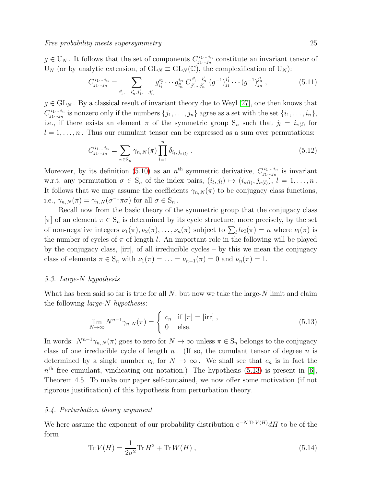$g \in U_N$ . It follows that the set of components  $C^{i_1 \ldots i_n}_{j_1 \ldots j_n}$  $j_1...j_n$  constitute an invariant tensor of  $U_N$  (or by analytic extension, of  $GL_N \equiv GL_N(\mathbb{C})$ , the complexification of  $U_N$ ):

$$
C_{j_1...j_n}^{i_1...i_n} = \sum_{i'_1,...,i'_n,j'_1,...,j'_n} g_{i'_1}^{i_1} \cdots g_{i'_n}^{i_n} C_{j'_1...j'_n}^{i'_1...i'_n} (g^{-1})_{j_1}^{j'_1} \cdots (g^{-1})_{j_n}^{j'_n}, \qquad (5.11)
$$

 $g \in GL_N$ . By a classical result of invariant theory due to Weyl [\[27\]](#page-37-12), one then knows that  $C^{i_1...i_n}_{i_1...i_n}$  $j_1...j_n$  is nonzero only if the numbers  $\{j_1,...,j_n\}$  agree as a set with the set  $\{i_1,...,i_n\}$ , i.e., if there exists an element  $\pi$  of the symmetric group  $S_n$  such that  $j_l = i_{\pi(l)}$  for  $l = 1, \ldots, n$ . Thus our cumulant tensor can be expressed as a sum over permutations:

<span id="page-24-1"></span>
$$
C_{j_1...j_n}^{i_1...i_n} = \sum_{\pi \in S_n} \gamma_{n,N}(\pi) \prod_{l=1}^n \delta_{i_l, j_{\pi(l)}}.
$$
\n(5.12)

Moreover, by its definition [\(5.10\)](#page-23-1) as an  $n^{\text{th}}$  symmetric derivative,  $C_{j_1...j_n}^{i_1...i_n}$  $j_1...j_n$  is invariant w.r.t. any permutation  $\sigma \in S_n$  of the index pairs,  $(i_l, j_l) \mapsto (i_{\sigma(l)}, j_{\sigma(l)}), l = 1, \ldots, n$ . It follows that we may assume the coefficients  $\gamma_{n,N}(\pi)$  to be conjugacy class functions, i.e.,  $\gamma_{n,N}(\pi) = \gamma_{n,N}(\sigma^{-1}\pi\sigma)$  for all  $\sigma \in S_n$ .

Recall now from the basic theory of the symmetric group that the conjugacy class  $[\pi]$  of an element  $\pi \in S_n$  is determined by its cycle structure; more precisely, by the set of non-negative integers  $\nu_1(\pi), \nu_2(\pi), \ldots, \nu_n(\pi)$  subject to  $\sum_l l\nu_l(\pi) = n$  where  $\nu_l(\pi)$  is the number of cycles of  $\pi$  of length l. An important role in the following will be played by the conjugacy class, [irr], of all irreducible cycles – by this we mean the conjugacy class of elements  $\pi \in S_n$  with  $\nu_1(\pi) = \ldots = \nu_{n-1}(\pi) = 0$  and  $\nu_n(\pi) = 1$ .

# 5.3. Large-N hypothesis

What has been said so far is true for all  $N$ , but now we take the large- $N$  limit and claim the following large-N hypothesis:

<span id="page-24-0"></span>
$$
\lim_{N \to \infty} N^{n-1} \gamma_{n,N}(\pi) = \begin{cases} c_n & \text{if } [\pi] = [\text{irr}], \\ 0 & \text{else.} \end{cases}
$$
 (5.13)

In words:  $N^{n-1}\gamma_{n,N}(\pi)$  goes to zero for  $N \to \infty$  unless  $\pi \in S_n$  belongs to the conjugacy class of one irreducible cycle of length n. (If so, the cumulant tensor of degree n is determined by a single number  $c_n$  for  $N \to \infty$ . We shall see that  $c_n$  is in fact the  $n<sup>th</sup>$  free cumulant, vindicating our notation.) The hypothesis [\(5.13\)](#page-24-0) is present in [\[6\]](#page-36-1), Theorem 4.5. To make our paper self-contained, we now offer some motivation (if not rigorous justification) of this hypothesis from perturbation theory.

### 5.4. Perturbation theory argument

We here assume the exponent of our probability distribution  $e^{-N \text{Tr} V(H)} dH$  to be of the form

$$
\text{Tr}\,V(H) = \frac{1}{2\sigma^2}\text{Tr}\,H^2 + \text{Tr}\,W(H)\,,\tag{5.14}
$$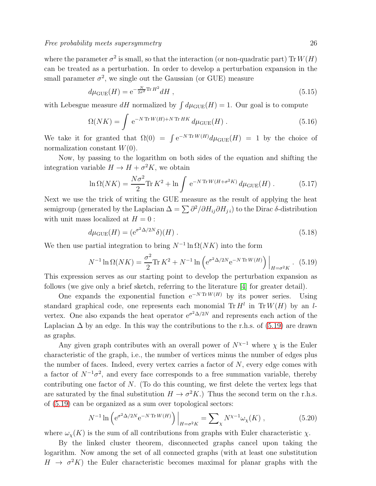where the parameter  $\sigma^2$  is small, so that the interaction (or non-quadratic part) Tr  $W(H)$ can be treated as a perturbation. In order to develop a perturbation expansion in the small parameter  $\sigma^2$ , we single out the Gaussian (or GUE) measure

$$
d\mu_{\text{GUE}}(H) = e^{-\frac{N}{2\sigma^2} \text{Tr} \, H^2} dH \,, \tag{5.15}
$$

with Lebesgue measure dH normalized by  $\int d\mu_{\text{GUE}}(H) = 1$ . Our goal is to compute

$$
\Omega(NK) = \int e^{-N \operatorname{Tr} W(H) + N \operatorname{Tr} HK} d\mu_{\text{GUE}}(H) . \qquad (5.16)
$$

We take it for granted that  $\Omega(0) = \int e^{-N \text{Tr} W(H)} d\mu_{\text{GUE}}(H) = 1$  by the choice of normalization constant  $W(0)$ .

Now, by passing to the logarithm on both sides of the equation and shifting the integration variable  $H \to H + \sigma^2 K$ , we obtain

$$
\ln \Omega(NK) = \frac{N\sigma^2}{2} \text{Tr} K^2 + \ln \int e^{-N \text{Tr} W(H + \sigma^2 K)} d\mu_{\text{GUE}}(H) . \tag{5.17}
$$

Next we use the trick of writing the GUE measure as the result of applying the heat semigroup (generated by the Laplacian  $\Delta = \sum \partial^2/\partial H_{ij}\partial H_{jij}$ ) to the Dirac  $\delta$ -distribution with unit mass localized at  $H = 0$ :

$$
d\mu_{\text{GUE}}(H) = (e^{\sigma^2 \Delta/2N} \delta)(H) \tag{5.18}
$$

We then use partial integration to bring  $N^{-1} \ln \Omega(NK)$  into the form

<span id="page-25-0"></span>
$$
N^{-1}\ln\Omega(NK) = \frac{\sigma^2}{2}\text{Tr}\,K^2 + N^{-1}\ln\left(e^{\sigma^2\Delta/2N}e^{-N\,\text{Tr}\,W(H)}\right)\Big|_{H=\sigma^2K}.
$$
 (5.19)

This expression serves as our starting point to develop the perturbation expansion as follows (we give only a brief sketch, referring to the literature [\[4\]](#page-36-8) for greater detail).

One expands the exponential function  $e^{-N \text{Tr } W(H)}$  by its power series. Using standard graphical code, one represents each monomial  $\text{Tr } H^l$  in  $\text{Tr } W(H)$  by an lvertex. One also expands the heat operator  $e^{\sigma^2 \Delta/2N}$  and represents each action of the Laplacian  $\Delta$  by an edge. In this way the contributions to the r.h.s. of [\(5.19\)](#page-25-0) are drawn as graphs.

Any given graph contributes with an overall power of  $N^{\chi-1}$  where  $\chi$  is the Euler characteristic of the graph, i.e., the number of vertices minus the number of edges plus the number of faces. Indeed, every vertex carries a factor of  $N$ , every edge comes with a factor of  $N^{-1}\sigma^2$ , and every face corresponds to a free summation variable, thereby contributing one factor of  $N$ . (To do this counting, we first delete the vertex legs that are saturated by the final substitution  $H \to \sigma^2 K$ .) Thus the second term on the r.h.s. of [\(5.19\)](#page-25-0) can be organized as a sum over topological sectors:

<span id="page-25-1"></span>
$$
N^{-1}\ln\left(e^{\sigma^2 \Delta/2N} e^{-N \text{Tr} W(H)}\right)\Big|_{H=\sigma^2 K} = \sum_{\chi} N^{\chi-1} \omega_{\chi}(K) ,\qquad (5.20)
$$

where  $\omega_{\gamma}(K)$  is the sum of all contributions from graphs with Euler characteristic  $\chi$ .

By the linked cluster theorem, disconnected graphs cancel upon taking the logarithm. Now among the set of all connected graphs (with at least one substitution  $H \to \sigma^2 K$ ) the Euler characteristic becomes maximal for planar graphs with the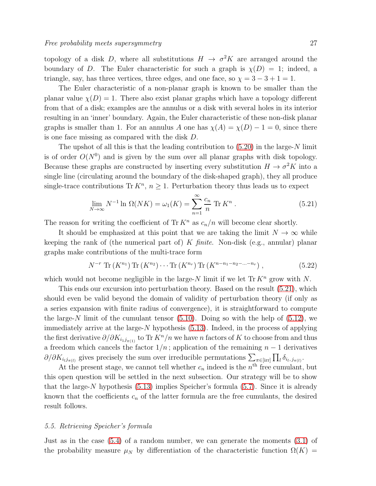topology of a disk D, where all substitutions  $H \to \sigma^2 K$  are arranged around the boundary of D. The Euler characteristic for such a graph is  $\chi(D) = 1$ ; indeed, a triangle, say, has three vertices, three edges, and one face, so  $\chi = 3 - 3 + 1 = 1$ .

The Euler characteristic of a non-planar graph is known to be smaller than the planar value  $\chi(D) = 1$ . There also exist planar graphs which have a topology different from that of a disk; examples are the annulus or a disk with several holes in its interior resulting in an 'inner' boundary. Again, the Euler characteristic of these non-disk planar graphs is smaller than 1. For an annulus A one has  $\chi(A) = \chi(D) - 1 = 0$ , since there is one face missing as compared with the disk D.

The upshot of all this is that the leading contribution to  $(5.20)$  in the large-N limit is of order  $O(N^0)$  and is given by the sum over all planar graphs with disk topology. Because these graphs are constructed by inserting every substitution  $H \to \sigma^2 K$  into a single line (circulating around the boundary of the disk-shaped graph), they all produce single-trace contributions Tr  $K<sup>n</sup>$ ,  $n \ge 1$ . Perturbation theory thus leads us to expect

<span id="page-26-1"></span>
$$
\lim_{N \to \infty} N^{-1} \ln \Omega(NK) = \omega_1(K) = \sum_{n=1}^{\infty} \frac{c_n}{n} \operatorname{Tr} K^n \,. \tag{5.21}
$$

The reason for writing the coefficient of Tr  $K^n$  as  $c_n/n$  will become clear shortly.

It should be emphasized at this point that we are taking the limit  $N \to \infty$  while keeping the rank of (the numerical part of) K  $finite$ . Non-disk (e.g., annular) planar graphs make contributions of the multi-trace form

<span id="page-26-2"></span>
$$
N^{-r} \text{Tr}\left(K^{n_1}\right) \text{Tr}\left(K^{n_2}\right) \cdots \text{Tr}\left(K^{n_r}\right) \text{Tr}\left(K^{n-n_1-n_2-\ldots-n_r}\right),\tag{5.22}
$$

which would not become negligible in the large-N limit if we let  $\text{Tr } K^n$  grow with N.

This ends our excursion into perturbation theory. Based on the result [\(5.21\)](#page-26-1), which should even be valid beyond the domain of validity of perturbation theory (if only as a series expansion with finite radius of convergence), it is straightforward to compute the large-N limit of the cumulant tensor  $(5.10)$ . Doing so with the help of  $(5.12)$ , we immediately arrive at the large- $N$  hypothesis [\(5.13\)](#page-24-0). Indeed, in the process of applying the first derivative  $\partial/\partial K_{i_1j_{\pi(1)}}$  to Tr  $K^n/n$  we have n factors of K to choose from and thus a freedom which cancels the factor  $1/n$ ; application of the remaining  $n-1$  derivatives  $\partial/\partial K_{i_l j_{\pi(l)}}$  gives precisely the sum over irreducible permutations  $\sum_{\pi \in [\text{irr}]} \prod_l \delta_{i_l, j_{\pi(l)}}$ .

At the present stage, we cannot tell whether  $c_n$  indeed is the  $n<sup>th</sup>$  free cumulant, but this open question will be settled in the next subsection. Our strategy will be to show that the large-N hypothesis  $(5.13)$  implies Speicher's formula  $(5.7)$ . Since it is already known that the coefficients  $c_n$  of the latter formula are the free cumulants, the desired result follows.

### <span id="page-26-0"></span>5.5. Retrieving Speicher's formula

Just as in the case [\(5.4\)](#page-22-1) of a random number, we can generate the moments [\(3.1\)](#page-9-4) of the probability measure  $\mu_N$  by differentiation of the characteristic function  $\Omega(K)$  =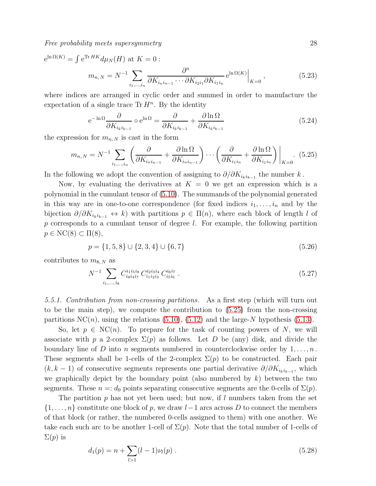Free probability meets supersymmetry and the control of the 28 control of  $28$ 

$$
e^{\ln \Omega(K)} = \int e^{\text{Tr} HK} d\mu_N(H) \text{ at } K = 0:
$$
  

$$
m_{n,N} = N^{-1} \sum_{i_1,\dots,i_n} \frac{\partial^n}{\partial K_{i_n i_{n-1}} \cdots \partial K_{i_2 i_1} \partial K_{i_1 i_n}} e^{\ln \Omega(K)} \Big|_{K=0},
$$
(5.23)

where indices are arranged in cyclic order and summed in order to manufacture the expectation of a single trace  $\text{Tr } H^n$ . By the identity

$$
e^{-\ln\Omega}\frac{\partial}{\partial K_{i_k i_{k-1}}}\circ e^{\ln\Omega} = \frac{\partial}{\partial K_{i_k i_{k-1}}} + \frac{\partial \ln\Omega}{\partial K_{i_k i_{k-1}}}
$$
(5.24)

the expression for  $m_{n,N}$  is cast in the form

<span id="page-27-0"></span>
$$
m_{n,N} = N^{-1} \sum_{i_1,\dots,i_n} \left( \frac{\partial}{\partial K_{i_n i_{n-1}}} + \frac{\partial \ln \Omega}{\partial K_{i_n i_{n-1}}} \right) \cdots \left( \frac{\partial}{\partial K_{i_1 i_n}} + \frac{\partial \ln \Omega}{\partial K_{i_1 i_n}} \right) \Big|_{K=0}.
$$
 (5.25)

In the following we adopt the convention of assigning to  $\partial/\partial K_{i_k i_{k-1}}$  the number k.

Now, by evaluating the derivatives at  $K = 0$  we get an expression which is a polynomial in the cumulant tensor of [\(5.10\)](#page-23-1). The summands of the polynomial generated in this way are in one-to-one correspondence (for fixed indices  $i_1, \ldots, i_n$  and by the bijection  $\partial/\partial K_{i_ki_{k-1}} \leftrightarrow k$ ) with partitions  $p \in \Pi(n)$ , where each block of length l of p corresponds to a cumulant tensor of degree l. For example, the following partition  $p \in \text{NC}(8) \subset \Pi(8),$ 

$$
p = \{1, 5, 8\} \cup \{2, 3, 4\} \cup \{6, 7\} \tag{5.26}
$$

contributes to  $m_{8,N}$  as

<span id="page-27-1"></span>
$$
N^{-1} \sum_{i_1,\dots,i_8} C_{i_8 i_4 i_7}^{i_1 i_5 i_8} C_{i_1 i_2 i_3}^{i_2 i_3 i_4} C_{i_5 i_6}^{i_6 i_7} \,. \tag{5.27}
$$

5.5.1. Contribution from non-crossing partitions. As a first step (which will turn out to be the main step), we compute the contribution to [\(5.25\)](#page-27-0) from the non-crossing partitions  $NC(n)$ , using the relations [\(5.10\)](#page-23-1), [\(5.12\)](#page-24-1) and the large-N hypothesis [\(5.13\)](#page-24-0).

So, let  $p \in NC(n)$ . To prepare for the task of counting powers of N, we will associate with p a 2-complex  $\Sigma(p)$  as follows. Let D be (any) disk, and divide the boundary line of D into n segments numbered in counterclockwise order by  $1, \ldots, n$ . These segments shall be 1-cells of the 2-complex  $\Sigma(p)$  to be constructed. Each pair  $(k, k - 1)$  of consecutive segments represents one partial derivative  $\partial/\partial K_{i_k i_{k-1}}$ , which we graphically depict by the boundary point (also numbered by  $k$ ) between the two segments. These  $n =: d_0$  points separating consecutive segments are the 0-cells of  $\Sigma(p)$ .

The partition  $p$  has not yet been used; but now, if l numbers taken from the set  $\{1,\ldots,n\}$  constitute one block of p, we draw  $l-1$  arcs across D to connect the members of that block (or rather, the numbered 0-cells assigned to them) with one another. We take each such arc to be another 1-cell of  $\Sigma(p)$ . Note that the total number of 1-cells of  $\Sigma(p)$  is

$$
d_1(p) = n + \sum_{l>1} (l-1)\nu_l(p) \tag{5.28}
$$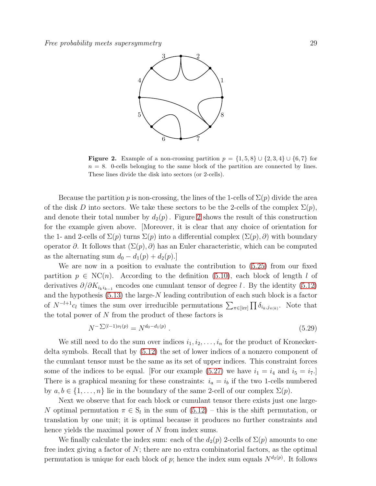

<span id="page-28-0"></span>**Figure 2.** Example of a non-crossing partition  $p = \{1, 5, 8\} \cup \{2, 3, 4\} \cup \{6, 7\}$  for  $n = 8$ . 0-cells belonging to the same block of the partition are connected by lines. These lines divide the disk into sectors (or 2-cells).

Because the partition p is non-crossing, the lines of the 1-cells of  $\Sigma(p)$  divide the area of the disk D into sectors. We take these sectors to be the 2-cells of the complex  $\Sigma(p)$ , and denote their total number by  $d_2(p)$ . Figure [2](#page-28-0) shows the result of this construction for the example given above. [Moreover, it is clear that any choice of orientation for the 1- and 2-cells of  $\Sigma(p)$  turns  $\Sigma(p)$  into a differential complex  $(\Sigma(p), \partial)$  with boundary operator  $\partial$ . It follows that  $(\Sigma(p), \partial)$  has an Euler characteristic, which can be computed as the alternating sum  $d_0 - d_1(p) + d_2(p)$ .

We are now in a position to evaluate the contribution to [\(5.25\)](#page-27-0) from our fixed partition  $p \in NC(n)$ . According to the definition [\(5.10\)](#page-23-1), each block of length l of derivatives  $\partial/\partial K_{i_k i_{k-1}}$  encodes one cumulant tensor of degree l. By the identity [\(5.12\)](#page-24-1) and the hypothesis [\(5.13\)](#page-24-0) the large-N leading contribution of each such block is a factor of  $N^{-l+1}c_l$  times the sum over irreducible permutations  $\sum_{\pi \in \text{irr}} \prod \delta_{i_k,j_{\pi(k)}}$ . Note that the total power of N from the product of these factors is

$$
N^{-\sum (l-1)\nu_l(p)} = N^{d_0 - d_1(p)}.
$$
\n(5.29)

We still need to do the sum over indices  $i_1, i_2, \ldots, i_n$  for the product of Kroneckerdelta symbols. Recall that by [\(5.12\)](#page-24-1) the set of lower indices of a nonzero component of the cumulant tensor must be the same as its set of upper indices. This constraint forces some of the indices to be equal. [For our example [\(5.27\)](#page-27-1) we have  $i_1 = i_4$  and  $i_5 = i_7$ .] There is a graphical meaning for these constraints:  $i_a = i_b$  if the two 1-cells numbered by  $a, b \in \{1, \ldots, n\}$  lie in the boundary of the same 2-cell of our complex  $\Sigma(p)$ .

Next we observe that for each block or cumulant tensor there exists just one large-N optimal permutation  $\pi \in S_l$  in the sum of  $(5.12)$  – this is the shift permutation, or translation by one unit; it is optimal because it produces no further constraints and hence yields the maximal power of N from index sums.

We finally calculate the index sum: each of the  $d_2(p)$  2-cells of  $\Sigma(p)$  amounts to one free index giving a factor of  $N$ ; there are no extra combinatorial factors, as the optimal permutation is unique for each block of p; hence the index sum equals  $N^{d_2(p)}$ . It follows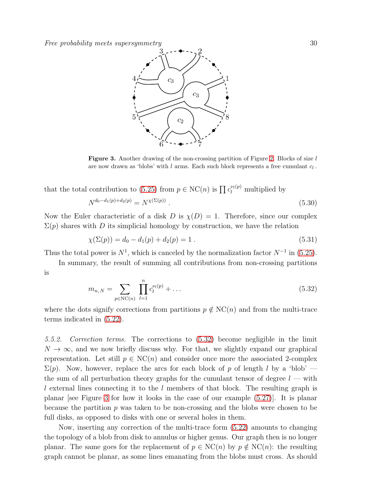Free probability meets supersymmetry  $\sim$  30



<span id="page-29-1"></span>**Figure 3.** Another drawing of the non-crossing partition of Figure [2.](#page-28-0) Blocks of size  $l$ are now drawn as 'blobs' with  $l$  arms. Each such block represents a free cumulant  $c_l$ .

that the total contribution to [\(5.25\)](#page-27-0) from  $p \in NC(n)$  is  $\prod c_l^{\nu_l(p)}$  multiplied by

$$
N^{d_0 - d_1(p) + d_2(p)} = N^{\chi(\Sigma(p))} . \tag{5.30}
$$

Now the Euler characteristic of a disk D is  $\chi(D) = 1$ . Therefore, since our complex  $\Sigma(p)$  shares with D its simplicial homology by construction, we have the relation

$$
\chi(\Sigma(p)) = d_0 - d_1(p) + d_2(p) = 1.
$$
\n(5.31)

Thus the total power is  $N^1$ , which is canceled by the normalization factor  $N^{-1}$  in [\(5.25\)](#page-27-0).

In summary, the result of summing all contributions from non-crossing partitions is

<span id="page-29-0"></span>
$$
m_{n,N} = \sum_{p \in \text{NC}(n)} \prod_{l=1}^{n} c_l^{\nu_l(p)} + \dots \tag{5.32}
$$

where the dots signify corrections from partitions  $p \notin NC(n)$  and from the multi-trace terms indicated in [\(5.22\)](#page-26-2).

5.5.2. Correction terms. The corrections to [\(5.32\)](#page-29-0) become negligible in the limit  $N \to \infty$ , and we now briefly discuss why. For that, we slightly expand our graphical representation. Let still  $p \in NC(n)$  and consider once more the associated 2-complex  $\Sigma(p)$ . Now, however, replace the arcs for each block of p of length l by a 'blob' the sum of all perturbation theory graphs for the cumulant tensor of degree  $l$  — with l external lines connecting it to the l members of that block. The resulting graph is planar [see Figure [3](#page-29-1) for how it looks in the case of our example [\(5.27\)](#page-27-1)]. It is planar because the partition  $p$  was taken to be non-crossing and the blobs were chosen to be full disks, as opposed to disks with one or several holes in them.

Now, inserting any correction of the multi-trace form [\(5.22\)](#page-26-2) amounts to changing the topology of a blob from disk to annulus or higher genus. Our graph then is no longer planar. The same goes for the replacement of  $p \in NC(n)$  by  $p \notin NC(n)$ : the resulting graph cannot be planar, as some lines emanating from the blobs must cross. As should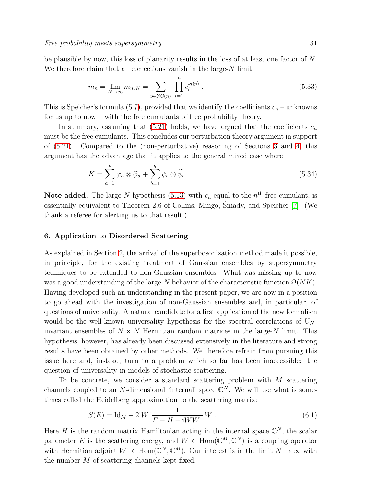be plausible by now, this loss of planarity results in the loss of at least one factor of  $N$ . We therefore claim that all corrections vanish in the large- $N$  limit:

$$
m_n = \lim_{N \to \infty} m_{n,N} = \sum_{p \in \text{NC}(n)} \prod_{l=1}^n c_l^{\nu_l(p)}.
$$
 (5.33)

This is Speicher's formula [\(5.7\)](#page-23-0), provided that we identify the coefficients  $c_n$  – unknowns for us up to now – with the free cumulants of free probability theory.

In summary, assuming that [\(5.21\)](#page-26-1) holds, we have argued that the coefficients  $c_n$ must be the free cumulants. This concludes our perturbation theory argument in support of [\(5.21\)](#page-26-1). Compared to the (non-perturbative) reasoning of Sections [3](#page-9-0) and [4,](#page-18-0) this argument has the advantage that it applies to the general mixed case where

$$
K = \sum_{a=1}^{p} \varphi_a \otimes \widetilde{\varphi}_a + \sum_{b=1}^{q} \psi_b \otimes \widetilde{\psi}_b . \tag{5.34}
$$

**Note added.** The large-N hypothesis [\(5.13\)](#page-24-0) with  $c_n$  equal to the  $n<sup>th</sup>$  free cumulant, is essentially equivalent to Theorem 2.6 of Collins, Mingo, Śniady, and Speicher [\[7\]](#page-36-9). (We thank a referee for alerting us to that result.)

## <span id="page-30-0"></span>6. Application to Disordered Scattering

As explained in Section [2,](#page-4-0) the arrival of the superbosonization method made it possible, in principle, for the existing treatment of Gaussian ensembles by supersymmetry techniques to be extended to non-Gaussian ensembles. What was missing up to now was a good understanding of the large-N behavior of the characteristic function  $\Omega(NK)$ . Having developed such an understanding in the present paper, we are now in a position to go ahead with the investigation of non-Gaussian ensembles and, in particular, of questions of universality. A natural candidate for a first application of the new formalism would be the well-known universality hypothesis for the spectral correlations of  $U_N$ invariant ensembles of  $N \times N$  Hermitian random matrices in the large-N limit. This hypothesis, however, has already been discussed extensively in the literature and strong results have been obtained by other methods. We therefore refrain from pursuing this issue here and, instead, turn to a problem which so far has been inaccessible: the question of universality in models of stochastic scattering.

To be concrete, we consider a standard scattering problem with M scattering channels coupled to an N-dimensional 'internal' space  $\mathbb{C}^N$ . We will use what is sometimes called the Heidelberg approximation to the scattering matrix:

$$
S(E) = \text{Id}_M - 2\text{i}W^{\dagger} \frac{1}{E - H + \text{i}WW^{\dagger}} W \,. \tag{6.1}
$$

Here H is the random matrix Hamiltonian acting in the internal space  $\mathbb{C}^N$ , the scalar parameter E is the scattering energy, and  $W \in \text{Hom}(\mathbb{C}^M, \mathbb{C}^N)$  is a coupling operator with Hermitian adjoint  $W^{\dagger} \in \text{Hom}(\mathbb{C}^N, \mathbb{C}^M)$ . Our interest is in the limit  $N \to \infty$  with the number M of scattering channels kept fixed.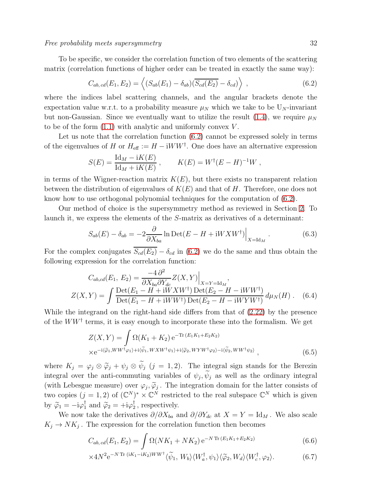To be specific, we consider the correlation function of two elements of the scattering matrix (correlation functions of higher order can be treated in exactly the same way):

<span id="page-31-0"></span>
$$
C_{ab, cd}(E_1, E_2) = \langle (S_{ab}(E_1) - \delta_{ab})(\overline{S_{cd}(E_2)} - \delta_{cd}) \rangle , \qquad (6.2)
$$

where the indices label scattering channels, and the angular brackets denote the expectation value w.r.t. to a probability measure  $\mu_N$  which we take to be  $U_N$ -invariant but non-Gaussian. Since we eventually want to utilize the result [\(1.4\)](#page-2-0), we require  $\mu_N$ to be of the form  $(1.1)$  with analytic and uniformly convex V.

Let us note that the correlation function  $(6.2)$  cannot be expressed solely in terms of the eigenvalues of H or  $H_{\text{eff}} := H - iWW^{\dagger}$ . One does have an alternative expression

$$
S(E) = \frac{\mathrm{Id}_M - iK(E)}{\mathrm{Id}_M + iK(E)}, \qquad K(E) = W^{\dagger}(E - H)^{-1}W,
$$

in terms of the Wigner-reaction matrix  $K(E)$ , but there exists no transparent relation between the distribution of eigenvalues of  $K(E)$  and that of H. Therefore, one does not know how to use orthogonal polynomial techniques for the computation of [\(6.2\)](#page-31-0).

Our method of choice is the supersymmetry method as reviewed in Section [2.](#page-4-0) To launch it, we express the elements of the S-matrix as derivatives of a determinant:

$$
S_{ab}(E) - \delta_{ab} = -2 \frac{\partial}{\partial X_{ba}} \ln \text{Det}(E - H + iW X W^{\dagger}) \Big|_{X = \text{Id}_M} . \tag{6.3}
$$

For the complex conjugates  $\overline{S_{cd}(E_2)} - \delta_{cd}$  in [\(6.2\)](#page-31-0) we do the same and thus obtain the following expression for the correlation function:

$$
C_{ab,cd}(E_1, E_2) = \frac{-4 \partial^2}{\partial X_{ba} \partial Y_{dc}} Z(X, Y) \Big|_{X = Y = \text{Id}_M},
$$
  

$$
Z(X, Y) = \int \frac{\text{Det}(E_1 - H + iW X W^{\dagger}) \text{Det}(E_2 - H - iW W^{\dagger})}{\text{Det}(E_1 - H + iW W^{\dagger}) \text{Det}(E_2 - H - iW Y W^{\dagger})} d\mu_N(H).
$$
 (6.4)

While the integrand on the right-hand side differs from that of [\(2.22\)](#page-7-0) by the presence of the  $WW^{\dagger}$  terms, it is easy enough to incorporate these into the formalism. We get

$$
Z(X,Y) = \int \Omega(K_1 + K_2) e^{-\text{Tr}(E_1 K_1 + E_2 K_2)}
$$
  
× $e^{-i\langle \tilde{\varphi}_1, WW^{\dagger} \varphi_1 \rangle + i\langle \tilde{\psi}_1, W X W^{\dagger} \psi_1 \rangle + i\langle \tilde{\varphi}_2, W Y W^{\dagger} \varphi_2 \rangle - i\langle \tilde{\psi}_2, W W^{\dagger} \psi_2 \rangle},$  (6.5)

where  $K_j = \varphi_j \otimes \widetilde{\varphi}_j + \psi_j \otimes \psi_j$   $(j = 1, 2)$ . The integral sign stands for the Berezin integral over the anti-commuting variables of  $\psi_j$ ,  $\psi_j$  as well as the ordinary integral (with Lebesgue measure) over  $\varphi_j$ ,  $\widetilde{\varphi}_j$ . The integration domain for the latter consists of two copies  $(j = 1, 2)$  of  $(\mathbb{C}^N)^* \times \mathbb{C}^N$  restricted to the real subspace  $\mathbb{C}^N$  which is given by  $\widetilde{\varphi}_1 = -i\varphi_1^{\dagger}$  and  $\widetilde{\varphi}_2 = +i\varphi_2^{\dagger}$  $\frac{1}{2}$ , respectively.

We now take the derivatives  $\partial/\partial X_{ba}$  and  $\partial/\partial Y_{dc}$  at  $X = Y = \text{Id}_M$ . We also scale  $K_j \to NK_j$ . The expression for the correlation function then becomes

<span id="page-31-1"></span>
$$
C_{ab,cd}(E_1, E_2) = \int \Omega(NK_1 + NK_2) e^{-N \operatorname{Tr} (E_1 K_1 + E_2 K_2)}
$$
(6.6)

$$
\times 4N^2 e^{-N \operatorname{Tr} (iK_1 - iK_2)WW^\dagger} \langle \widetilde{\psi}_1, W_b \rangle \langle W_a^\dagger, \psi_1 \rangle \langle \widetilde{\varphi}_2, W_d \rangle \langle W_c^\dagger, \varphi_2 \rangle. \tag{6.7}
$$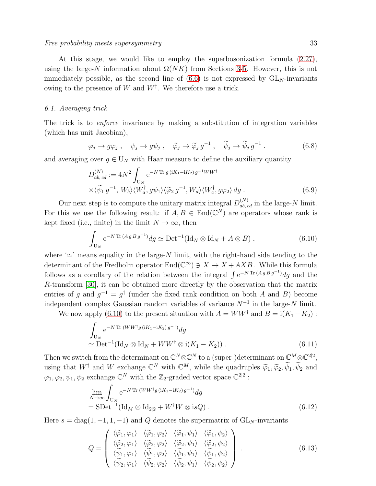At this stage, we would like to employ the superbosonization formula [\(2.27\)](#page-8-0), using the large-N information about  $\Omega(NK)$  from Sections [3](#page-9-0)[-5.](#page-21-0) However, this is not immediately possible, as the second line of  $(6.6)$  is not expressed by  $GL<sub>N</sub>$ -invariants owing to the presence of W and  $W^{\dagger}$ . We therefore use a trick.

# 6.1. Averaging trick

The trick is to enforce invariance by making a substitution of integration variables (which has unit Jacobian),

$$
\varphi_j \to g \varphi_j \ , \quad \psi_j \to g \psi_j \ , \quad \widetilde{\varphi}_j \to \widetilde{\varphi}_j \, g^{-1} \ , \quad \widetilde{\psi}_j \to \widetilde{\psi}_j \, g^{-1} \ . \tag{6.8}
$$

and averaging over  $g \in U_N$  with Haar measure to define the auxiliary quantity

<span id="page-32-1"></span>
$$
D_{ab, cd}^{(N)} := 4N^2 \int_{U_N} e^{-N \operatorname{Tr} g (iK_1 - iK_2) g^{-1} W W^{\dagger}} \times \langle \widetilde{\psi}_1 g^{-1}, W_b \rangle \langle W_a^{\dagger}, g \psi_1 \rangle \langle \widetilde{\varphi}_2 g^{-1}, W_d \rangle \langle W_c^{\dagger}, g \varphi_2 \rangle \, dg.
$$
 (6.9)

Our next step is to compute the unitary matrix integral  $D_{ab, cd}^{(N)}$  in the large-N limit. For this we use the following result: if  $A, B \in \text{End}(\mathbb{C}^N)$  are operators whose rank is kept fixed (i.e., finite) in the limit  $N \to \infty$ , then

<span id="page-32-0"></span>
$$
\int_{U_N} e^{-N \operatorname{Tr} (A g B g^{-1})} dg \simeq \operatorname{Det}^{-1} (\operatorname{Id}_N \otimes \operatorname{Id}_N + A \otimes B) ,
$$
\n(6.10)

where ' $\simeq$ ' means equality in the large-N limit, with the right-hand side tending to the determinant of the Fredholm operator  $End(\mathbb{C}^{\infty}) \ni X \mapsto X + AXB$ . While this formula follows as a corollary of the relation between the integral  $\int e^{-N \text{Tr}(A g B g^{-1})} dg$  and the R-transform [\[30\]](#page-37-5), it can be obtained more directly by the observation that the matrix entries of g and  $g^{-1} = g^{\dagger}$  (under the fixed rank condition on both A and B) become independent complex Gaussian random variables of variance  $N^{-1}$  in the large-N limit.

We now apply [\(6.10\)](#page-32-0) to the present situation with  $A = WW^{\dagger}$  and  $B = i(K_1 - K_2)$ :

$$
\int_{U_N} e^{-N \operatorname{Tr} (WW^\dagger g (iK_1 - iK_2)g^{-1})} dg
$$
\n
$$
\simeq \operatorname{Det}^{-1}(\operatorname{Id}_N \otimes \operatorname{Id}_N + WW^\dagger \otimes i(K_1 - K_2)).
$$
\n(6.11)

Then we switch from the determinant on  $\mathbb{C}^N \otimes \mathbb{C}^N$  to a (super-)determinant on  $\mathbb{C}^M \otimes \mathbb{C}^{2|2}$ , using that  $W^{\dagger}$  and  $W$  exchange  $\mathbb{C}^{N}$  with  $\mathbb{C}^{M}$ , while the quadruples  $\widetilde{\varphi}_1, \widetilde{\varphi}_2, \widetilde{\psi}_1, \widetilde{\psi}_2$  and  $\varphi_1, \varphi_2, \psi_1, \psi_2$  exchange  $\mathbb{C}^N$  with the  $\mathbb{Z}_2$ -graded vector space  $\mathbb{C}^{2|2}$ :

$$
\lim_{N \to \infty} \int_{\mathcal{U}_N} e^{-N \operatorname{Tr} (WW^\dagger g (iK_1 - iK_2) g^{-1})} dg
$$
  
= SDet<sup>-1</sup>(Id<sub>M</sub> ⊗ Id<sub>2|2</sub> + W<sup>†</sup>W ⊗ isQ). (6.12)

Here  $s = diag(1, -1, 1, -1)$  and Q denotes the supermatrix of  $GL_N$ -invariants

<span id="page-32-2"></span>
$$
Q = \begin{pmatrix} \langle \tilde{\varphi}_1, \varphi_1 \rangle & \langle \tilde{\varphi}_1, \varphi_2 \rangle & \langle \tilde{\varphi}_1, \psi_1 \rangle & \langle \tilde{\varphi}_1, \psi_2 \rangle \\ \langle \tilde{\varphi}_2, \varphi_1 \rangle & \langle \tilde{\varphi}_2, \varphi_2 \rangle & \langle \tilde{\varphi}_2, \psi_1 \rangle & \langle \tilde{\varphi}_2, \psi_2 \rangle \\ \langle \tilde{\psi}_1, \varphi_1 \rangle & \langle \tilde{\psi}_1, \varphi_2 \rangle & \langle \tilde{\psi}_1, \psi_1 \rangle & \langle \tilde{\psi}_1, \psi_2 \rangle \\ \langle \tilde{\psi}_2, \varphi_1 \rangle & \langle \tilde{\psi}_2, \varphi_2 \rangle & \langle \tilde{\psi}_2, \psi_1 \rangle & \langle \tilde{\psi}_2, \psi_2 \rangle \end{pmatrix} . \tag{6.13}
$$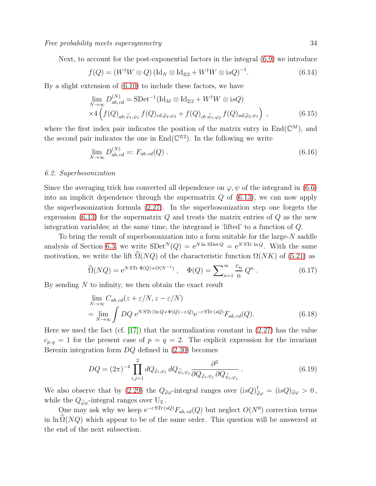Next, to account for the post-exponential factors in the integral [\(6.9\)](#page-32-1) we introduce

$$
f(Q) = (W^{\dagger} W \otimes Q) (\text{Id}_N \otimes \text{Id}_{2|2} + W^{\dagger} W \otimes \text{i} s Q)^{-1}.
$$
 (6.14)

By a slight extension of [\(6.10\)](#page-32-0) to include these factors, we have

$$
\lim_{N \to \infty} D_{ab, cd}^{(N)} = \text{SDet}^{-1}(\text{Id}_M \otimes \text{Id}_{2|2} + W^{\dagger} W \otimes \text{is}Q)
$$
  
×4
$$
\left(f(Q)_{ab, \tilde{\psi}_1, \psi_1} f(Q)_{cd; \tilde{\varphi}_2, \varphi_2} + f(Q)_{cb; \tilde{\psi}_1, \varphi_2} f(Q)_{ad; \tilde{\varphi}_2, \psi_1}\right) ,
$$
 (6.15)

where the first index pair indicates the position of the matrix entry in  $\text{End}(\mathbb{C}^M)$ , and the second pair indicates the one in  $\text{End}(\mathbb{C}^{2|2})$ . In the following we write

$$
\lim_{N \to \infty} D_{ab, cd}^{(N)} =: F_{ab, cd}(Q) . \tag{6.16}
$$

### 6.2. Superbosonization

Since the averaging trick has converted all dependence on  $\varphi, \psi$  of the integrand in [\(6.6\)](#page-31-1) into an implicit dependence through the supermatrix  $Q$  of  $(6.13)$ , we can now apply the superbosonization formula [\(2.27\)](#page-8-0). In the superbosonization step one forgets the expression  $(6.13)$  for the supermatrix  $Q$  and treats the matrix entries of  $Q$  as the new integration variables; at the same time, the integrand is 'lifted' to a function of Q.

To bring the result of superbosonization into a form suitable for the large-N saddle analysis of Section [6.3,](#page-34-0) we write  $SDet^{N}(Q) = e^{N \ln SDetQ} = e^{N STr \ln Q}$ . With the same motivation, we write the lift  $\widehat{\Omega}(NQ)$  of the characteristic function  $\Omega(NK)$  of [\(5.21\)](#page-26-1) as

$$
\widehat{\Omega}(NQ) = e^{N \operatorname{STr} \Phi(Q) + O(N^{-1})}, \quad \Phi(Q) = \sum_{n=1}^{\infty} \frac{c_n}{n} Q^n.
$$
 (6.17)

By sending  $N$  to infinity, we then obtain the exact result

$$
\lim_{N \to \infty} C_{ab, cd}(z + \varepsilon/N, z - \varepsilon/N)
$$
\n
$$
= \lim_{N \to \infty} \int DQ \, e^{N \, \text{STr} \, (\ln Q + \Phi(Q) - z \, Q)} e^{-\varepsilon \, \text{STr} \, (sQ)} F_{ab, cd}(Q). \tag{6.18}
$$

Here we used the fact (cf.  $[17]$ ) that the normalization constant in  $(2.27)$  has the value  $c_{p,q} = 1$  for the present case of  $p = q = 2$ . The explicit expression for the invariant Berezin integration form  $DQ$  defined in  $(2.30)$  becomes

$$
DQ = (2\pi)^{-4} \prod_{i,j=1}^{2} dQ_{\tilde{\varphi}_i,\varphi_j} dQ_{\tilde{\psi}_i,\psi_j} \frac{\partial^2}{\partial Q_{\tilde{\varphi}_i,\psi_j} \partial Q_{\tilde{\psi}_i,\varphi_j}}.
$$
(6.19)

We also observe that by [\(2.29\)](#page-8-3) the  $Q_{\tilde{\varphi}\varphi}$ -integral ranges over  $(isQ)^{\dagger}_{\tilde{\varphi}\varphi} = (isQ)_{\tilde{\varphi}\varphi} > 0$ , while the  $Q_{\tilde{\psi}\psi}$ -integral ranges over  $U_2$ .

One may ask why we keep  $e^{-\varepsilon \operatorname{STr}(sQ)}F_{ab,cd}(Q)$  but neglect  $O(N^0)$  correction terms in ln  $\Omega(NQ)$  which appear to be of the same order. This question will be answered at the end of the next subsection.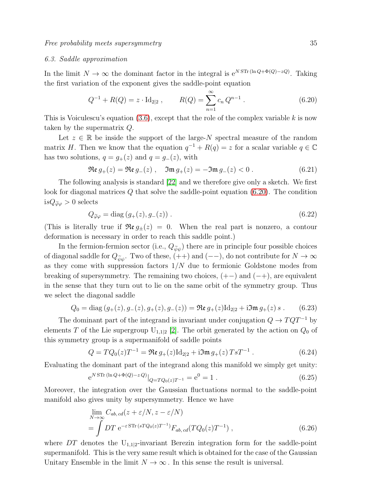### <span id="page-34-0"></span>6.3. Saddle approximation

In the limit  $N \to \infty$  the dominant factor in the integral is  $e^{N \operatorname{STr}(\ln Q + \Phi(Q) - zQ)}$ . Taking the first variation of the exponent gives the saddle-point equation

<span id="page-34-1"></span>
$$
Q^{-1} + R(Q) = z \cdot \text{Id}_{2|2} , \qquad R(Q) = \sum_{n=1}^{\infty} c_n Q^{n-1} . \qquad (6.20)
$$

This is Voiculescu's equation  $(3.6)$ , except that the role of the complex variable k is now taken by the supermatrix Q.

Let  $z \in \mathbb{R}$  be inside the support of the large-N spectral measure of the random matrix H. Then we know that the equation  $q^{-1} + R(q) = z$  for a scalar variable  $q \in \mathbb{C}$ has two solutions,  $q = g_{+}(z)$  and  $q = g_{-}(z)$ , with

$$
\Re \mathfrak{e} g_+(z) = \Re \mathfrak{e} g_-(z) , \quad \Im \mathfrak{m} g_+(z) = -\Im \mathfrak{m} g_-(z) < 0 . \tag{6.21}
$$

The following analysis is standard [\[22\]](#page-37-13) and we therefore give only a sketch. We first look for diagonal matrices Q that solve the saddle-point equation [\(6.20\)](#page-34-1). The condition  $isQ_{\widetilde{\varphi}\varphi}>0$  selects

$$
Q_{\tilde{\varphi}\varphi} = \text{diag}\left(g_+(z), g_-(z)\right). \tag{6.22}
$$

(This is literally true if  $\Re(\mathbf{e}_t, \mathbf{z}) = 0$ . When the real part is nonzero, a contour deformation is necessary in order to reach this saddle point.)

In the fermion-fermion sector (i.e.,  $Q_{\tilde{\psi}\psi}$ ) there are in principle four possible choices of diagonal saddle for  $Q_{\tilde{\psi}\psi}$ . Two of these, (++) and (--), do not contribute for  $N \to \infty$ as they come with suppression factors  $1/N$  due to fermionic Goldstone modes from breaking of supersymmetry. The remaining two choices,  $(+-)$  and  $(-+)$ , are equivalent in the sense that they turn out to lie on the same orbit of the symmetry group. Thus we select the diagonal saddle

$$
Q_0 = \text{diag}(g_+(z), g_-(z), g_+(z), g_-(z)) = \Re\mathfrak{e} g_+(z) \text{Id}_{2|2} + i\Im\mathfrak{m} g_+(z) s . \tag{6.23}
$$

The dominant part of the integrand is invariant under conjugation  $Q \to TQT^{-1}$  by elements T of the Lie supergroup  $U_{1,1|2}$  [\[2\]](#page-36-10). The orbit generated by the action on  $Q_0$  of this symmetry group is a supermanifold of saddle points

$$
Q = TQ_0(z)T^{-1} = \Re \mathfrak{e} g_+(z) \mathrm{Id}_{2|2} + i \Im \mathfrak{m} g_+(z) T s T^{-1} . \tag{6.24}
$$

Evaluating the dominant part of the integrand along this manifold we simply get unity:

$$
e^{NSTr(\ln Q + \Phi(Q) - zQ)}|_{Q = TQ_0(z)T^{-1}} = e^0 = 1.
$$
\n(6.25)

Moreover, the integration over the Gaussian fluctuations normal to the saddle-point manifold also gives unity by supersymmetry. Hence we have

$$
\lim_{N \to \infty} C_{ab, cd}(z + \varepsilon/N, z - \varepsilon/N)
$$
\n
$$
= \int DT \, e^{-\varepsilon \, \text{STr} \, (sTQ_0(z)T^{-1})} F_{ab, cd}(TQ_0(z)T^{-1}) \,, \tag{6.26}
$$

where  $DT$  denotes the  $U_{1,1|2}$ -invariant Berezin integration form for the saddle-point supermanifold. This is the very same result which is obtained for the case of the Gaussian Unitary Ensemble in the limit  $N \to \infty$ . In this sense the result is universal.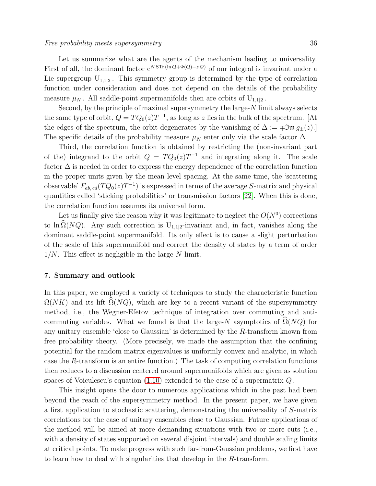Let us summarize what are the agents of the mechanism leading to universality. First of all, the dominant factor  $e^{NSTr(\ln Q)+\Phi(Q)-zQ)}$  of our integral is invariant under a Lie supergroup  $U_{1,1|2}$ . This symmetry group is determined by the type of correlation function under consideration and does not depend on the details of the probability measure  $\mu_N$ . All saddle-point supermanifolds then are orbits of  $U_{1,1|2}$ .

Second, by the principle of maximal supersymmetry the large-N limit always selects the same type of orbit,  $Q = TQ_0(z)T^{-1}$ , as long as z lies in the bulk of the spectrum. [At the edges of the spectrum, the orbit degenerates by the vanishing of  $\Delta := \pm \mathfrak{Im} g_{\pm}(z)$ .] The specific details of the probability measure  $\mu_N$  enter only via the scale factor  $\Delta$ .

Third, the correlation function is obtained by restricting the (non-invariant part of the) integrand to the orbit  $Q = T Q_0(z) T^{-1}$  and integrating along it. The scale factor  $\Delta$  is needed in order to express the energy dependence of the correlation function in the proper units given by the mean level spacing. At the same time, the 'scattering observable'  $F_{ab, cd}(TQ_0(z)T^{-1})$  is expressed in terms of the average S-matrix and physical quantities called 'sticking probabilities' or transmission factors [\[22\]](#page-37-13). When this is done, the correlation function assumes its universal form.

Let us finally give the reason why it was legitimate to neglect the  $O(N^0)$  corrections to ln  $\widehat{\Omega}(NQ)$ . Any such correction is U<sub>1,1|2</sub>-invariant and, in fact, vanishes along the dominant saddle-point supermanifold. Its only effect is to cause a slight perturbation of the scale of this supermanifold and correct the density of states by a term of order  $1/N$ . This effect is negligible in the large-N limit.

### <span id="page-35-0"></span>7. Summary and outlook

In this paper, we employed a variety of techniques to study the characteristic function  $\Omega(NK)$  and its lift  $\Omega(NQ)$ , which are key to a recent variant of the supersymmetry method, i.e., the Wegner-Efetov technique of integration over commuting and anticommuting variables. What we found is that the large-N asymptotics of  $\Omega(NQ)$  for any unitary ensemble 'close to Gaussian' is determined by the R-transform known from free probability theory. (More precisely, we made the assumption that the confining potential for the random matrix eigenvalues is uniformly convex and analytic, in which case the R-transform is an entire function.) The task of computing correlation functions then reduces to a discussion centered around supermanifolds which are given as solution spaces of Voiculescu's equation  $(1.10)$  extended to the case of a supermatrix  $Q$ .

This insight opens the door to numerous applications which in the past had been beyond the reach of the supersymmetry method. In the present paper, we have given a first application to stochastic scattering, demonstrating the universality of S-matrix correlations for the case of unitary ensembles close to Gaussian. Future applications of the method will be aimed at more demanding situations with two or more cuts (i.e., with a density of states supported on several disjoint intervals) and double scaling limits at critical points. To make progress with such far-from-Gaussian problems, we first have to learn how to deal with singularities that develop in the R-transform.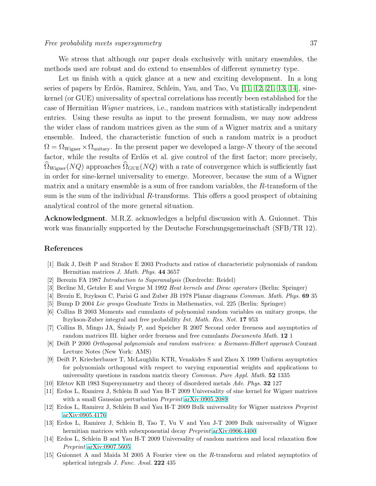We stress that although our paper deals exclusively with unitary ensembles, the methods used are robust and do extend to ensembles of different symmetry type.

Let us finish with a quick glance at a new and exciting development. In a long series of papers by Erdös, Ramirez, Schlein, Yau, and Tao, Vu  $[11, 12, 21, 13, 14]$  $[11, 12, 21, 13, 14]$  $[11, 12, 21, 13, 14]$  $[11, 12, 21, 13, 14]$  $[11, 12, 21, 13, 14]$ , sinekernel (or GUE) universality of spectral correlations has recently been established for the case of Hermitian Wigner matrices, i.e., random matrices with statistically independent entries. Using these results as input to the present formalism, we may now address the wider class of random matrices given as the sum of a Wigner matrix and a unitary ensemble. Indeed, the characteristic function of such a random matrix is a product  $\Omega = \Omega_{\text{Wiener}} \times \Omega_{\text{unitary}}$ . In the present paper we developed a large-N theory of the second factor, while the results of Erdös et al. give control of the first factor; more precisely,  $\Omega_{\text{Wigner}}(NQ)$  approaches  $\Omega_{\text{GUE}}(NQ)$  with a rate of convergence which is sufficiently fast in order for sine-kernel universality to emerge. Moreover, because the sum of a Wigner matrix and a unitary ensemble is a sum of free random variables, the R-transform of the sum is the sum of the individual R-transforms. This offers a good prospect of obtaining analytical control of the more general situation.

Acknowledgment. M.R.Z. acknowledges a helpful discussion with A. Guionnet. This work was financially supported by the Deutsche Forschungsgemeinschaft (SFB/TR 12).

### <span id="page-36-6"></span>References

- <span id="page-36-10"></span>[1] Baik J, Deift P and Strahov E 2003 Products and ratios of characteristic polynomials of random Hermitian matrices *J. Math. Phys.* 44 3657
- <span id="page-36-3"></span>[2] Berezin FA 1987 *Introduction to Superanalysis* (Dordrecht: Reidel)
- <span id="page-36-8"></span>[3] Berline M, Getzler E and Vergne M 1992 *Heat kernels and Dirac operators* (Berlin: Springer)
- <span id="page-36-7"></span>[4] Brezin E, Itzykson C, Parisi G and Zuber JB 1978 Planar diagrams *Commun. Math. Phys.* 69 35
- <span id="page-36-1"></span>[5] Bump D 2004 *Lie groups* Graduate Texts in Mathematics, vol. 225 (Berlin: Springer)
- [6] Collins B 2003 Moments and cumulants of polynomial random variables on unitary groups, the Itzykson-Zuber integral and free probability *Int. Math. Res. Not.* 17 953
- <span id="page-36-9"></span><span id="page-36-4"></span>[7] Collins B, Mingo JA, Sniady P, and Speicher R 2007 Second order freeness and asymptotics of random matrices III. higher order freeness and free cumulants *Documenta Math.* 12 1
- [8] Deift P 2000 *Orthogonal polynomials and random matrices: a Riemann-Hilbert approach* Courant Lecture Notes (New York: AMS)
- <span id="page-36-5"></span>[9] Deift P, Kriecherbauer T, McLaughlin KTR, Venakides S and Zhou X 1999 Uniform asymptotics for polynomials orthogonal with respect to varying exponential weights and applications to universality questions in random matrix theory *Commun. Pure Appl. Math.* 52 1335
- <span id="page-36-11"></span><span id="page-36-0"></span>[10] Efetov KB 1983 Supersymmetry and theory of disordered metals *Adv. Phys.* 32 127
- [11] Erdos L, Ramirez J, Schlein B and Yau H-T 2009 Universality of sine kernel for Wigner matrices with a small Gaussian perturbation *Preprint* [arXiv:0905.2089](http://arxiv.org/abs/0905.2089)
- <span id="page-36-13"></span><span id="page-36-12"></span>[12] Erdos L, Ramirez J, Schlein B and Yau H-T 2009 Bulk universality for Wigner matrices *Preprint* [arXiv:0905.4176](http://arxiv.org/abs/0905.4176)
- [13] Erdos L, Ramirez J, Schlein B, Tao T, Vu V and Yau J-T 2009 Bulk universality of Wigner hermitian matrices with subexponential decay *Preprint* [arXiv:0906.4400](http://arxiv.org/abs/0906.4400)
- <span id="page-36-14"></span>[14] Erdos L, Schlein B and Yau H-T 2009 Universality of random matrices and local relaxation flow *Preprint* [arXiv:0907.5605](http://arxiv.org/abs/0907.5605)
- <span id="page-36-2"></span>[15] Guionnet A and Maida M 2005 A Fourier view on the R-transform and related asymptotics of spherical integrals *J. Func. Anal.* 222 435